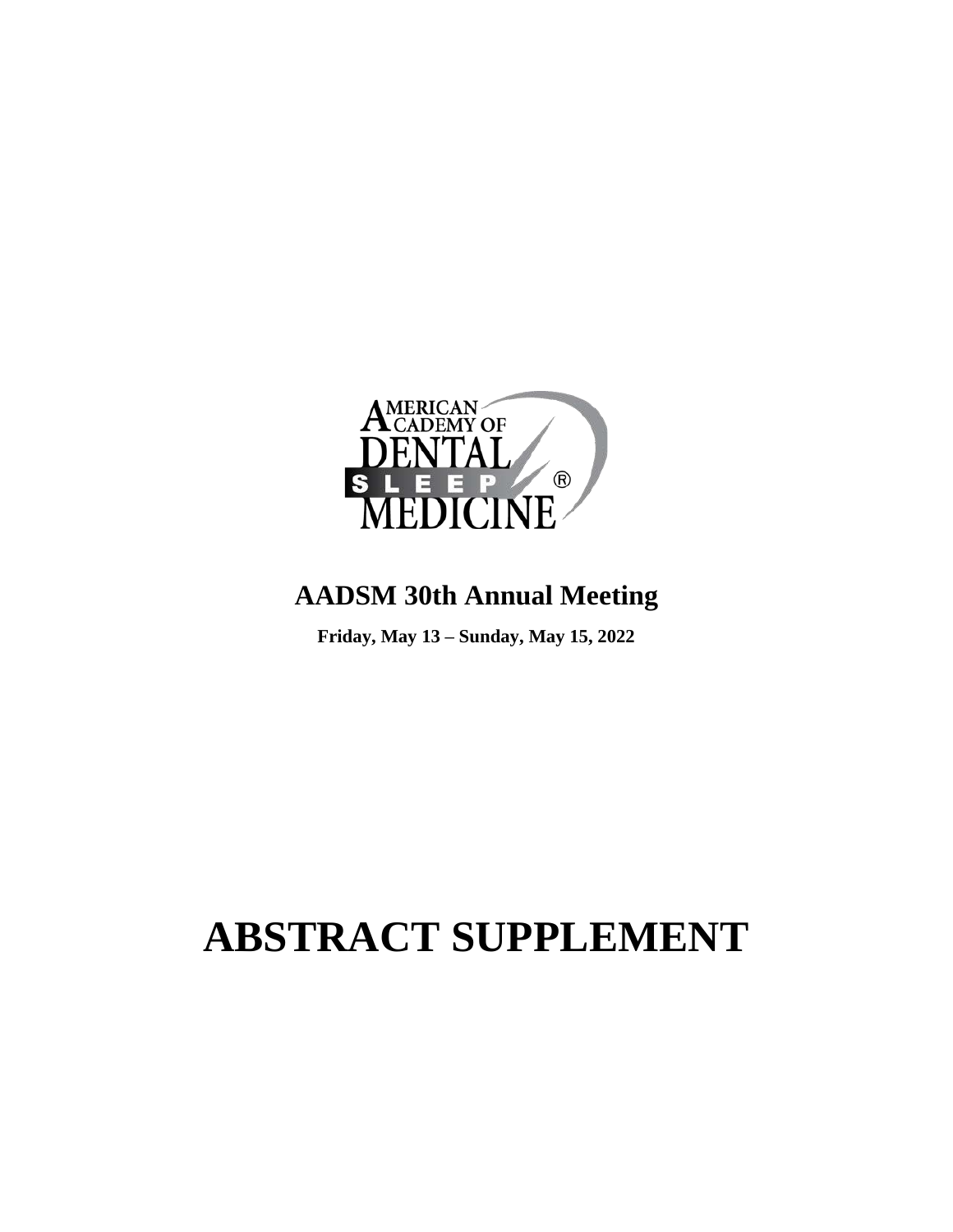

# **AADSM 30th Annual Meeting**

**Friday, May 13 – Sunday, May 15, 2022**

# **ABSTRACT SUPPLEMENT**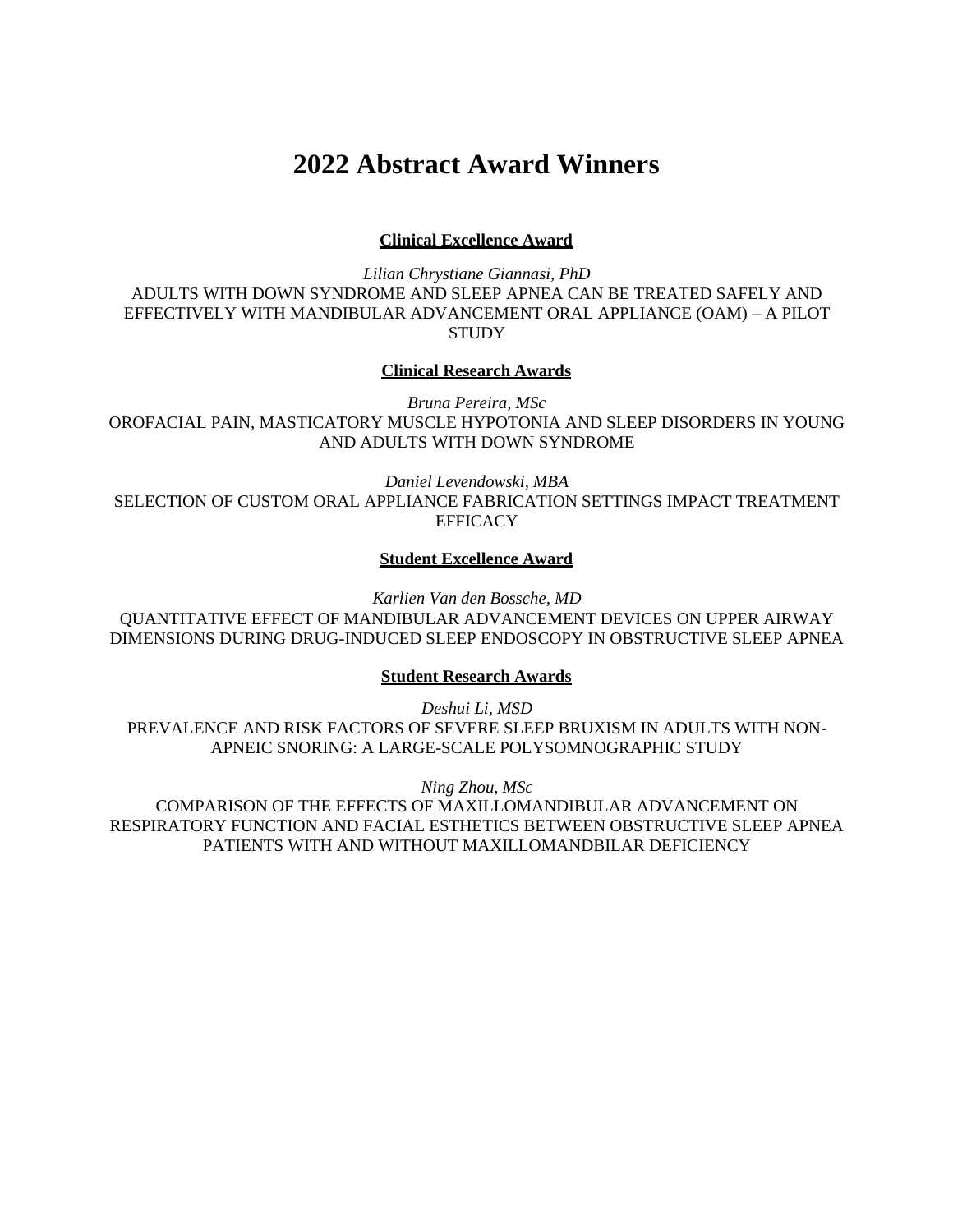# **2022 Abstract Award Winners**

**Clinical Excellence Award**

*Lilian Chrystiane Giannasi, PhD* ADULTS WITH DOWN SYNDROME AND SLEEP APNEA CAN BE TREATED SAFELY AND EFFECTIVELY WITH MANDIBULAR ADVANCEMENT ORAL APPLIANCE (OAM) – A PILOT **STUDY** 

#### **Clinical Research Awards**

*Bruna Pereira, MSc* OROFACIAL PAIN, MASTICATORY MUSCLE HYPOTONIA AND SLEEP DISORDERS IN YOUNG AND ADULTS WITH DOWN SYNDROME

*Daniel Levendowski, MBA* SELECTION OF CUSTOM ORAL APPLIANCE FABRICATION SETTINGS IMPACT TREATMENT **EFFICACY** 

#### **Student Excellence Award**

*Karlien Van den Bossche, MD* QUANTITATIVE EFFECT OF MANDIBULAR ADVANCEMENT DEVICES ON UPPER AIRWAY DIMENSIONS DURING DRUG-INDUCED SLEEP ENDOSCOPY IN OBSTRUCTIVE SLEEP APNEA

#### **Student Research Awards**

*Deshui Li, MSD* PREVALENCE AND RISK FACTORS OF SEVERE SLEEP BRUXISM IN ADULTS WITH NON-APNEIC SNORING: A LARGE-SCALE POLYSOMNOGRAPHIC STUDY

*Ning Zhou, MSc*

COMPARISON OF THE EFFECTS OF MAXILLOMANDIBULAR ADVANCEMENT ON RESPIRATORY FUNCTION AND FACIAL ESTHETICS BETWEEN OBSTRUCTIVE SLEEP APNEA PATIENTS WITH AND WITHOUT MAXILLOMANDBILAR DEFICIENCY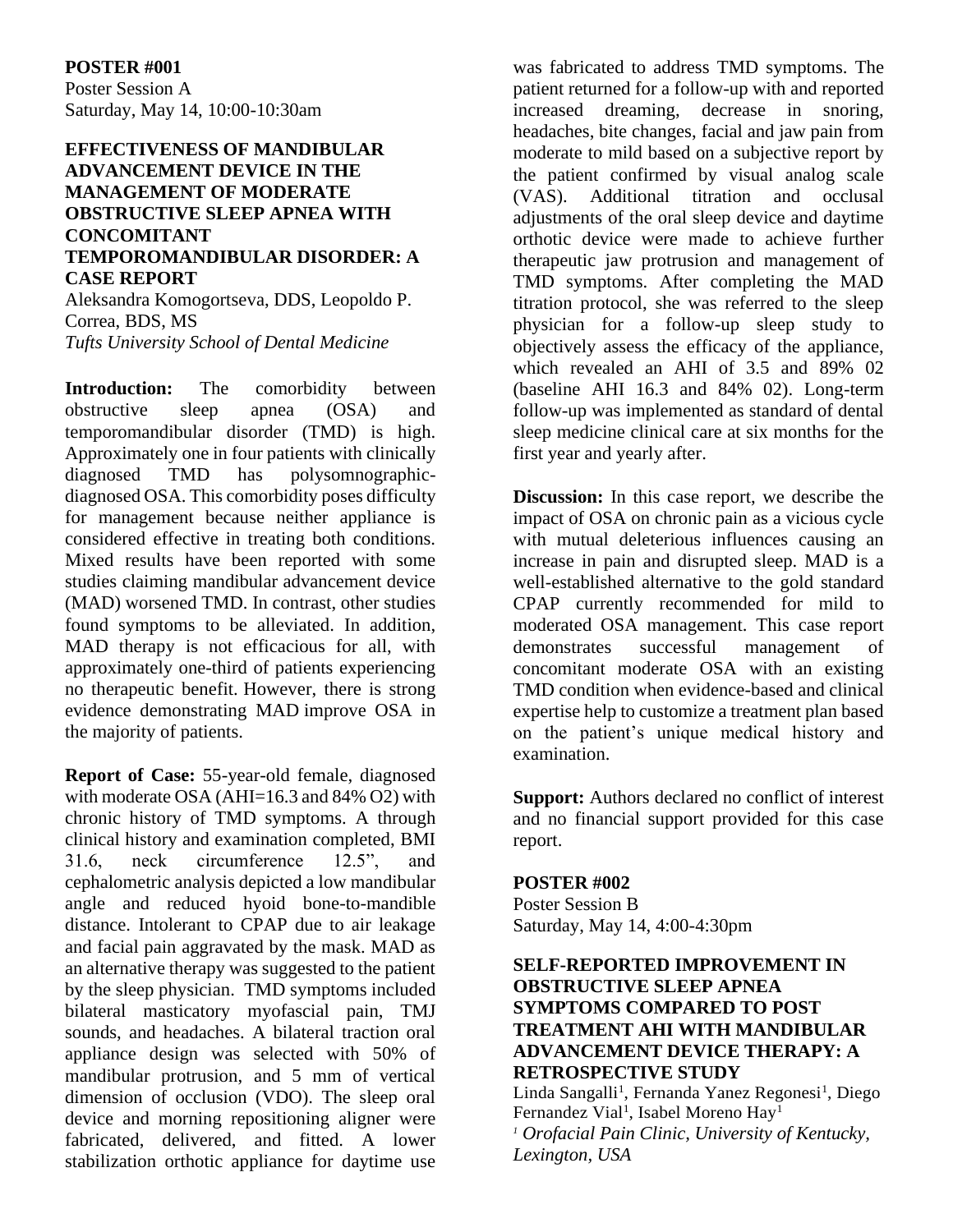#### **POSTER #001**

Poster Session A Saturday, May 14, 10:00-10:30am

#### **EFFECTIVENESS OF MANDIBULAR ADVANCEMENT DEVICE IN THE MANAGEMENT OF MODERATE OBSTRUCTIVE SLEEP APNEA WITH CONCOMITANT TEMPOROMANDIBULAR DISORDER: A CASE REPORT**

Aleksandra Komogortseva, DDS, Leopoldo P. Correa, BDS, MS *Tufts University School of Dental Medicine*

**Introduction:** The comorbidity between obstructive sleep apnea (OSA) and temporomandibular disorder (TMD) is high. Approximately one in four patients with clinically diagnosed TMD has polysomnographicdiagnosed OSA. This comorbidity poses difficulty for management because neither appliance is considered effective in treating both conditions. Mixed results have been reported with some studies claiming mandibular advancement device (MAD) worsened TMD. In contrast, other studies found symptoms to be alleviated. In addition, MAD therapy is not efficacious for all, with approximately one-third of patients experiencing no therapeutic benefit. However, there is strong evidence demonstrating MAD improve OSA in the majority of patients.

**Report of Case:** 55-year-old female, diagnosed with moderate OSA (AHI=16.3 and 84% O2) with chronic history of TMD symptoms. A through clinical history and examination completed, BMI 31.6, neck circumference 12.5", and cephalometric analysis depicted a low mandibular angle and reduced hyoid bone-to-mandible distance. Intolerant to CPAP due to air leakage and facial pain aggravated by the mask. MAD as an alternative therapy was suggested to the patient by the sleep physician. TMD symptoms included bilateral masticatory myofascial pain, TMJ sounds, and headaches. A bilateral traction oral appliance design was selected with 50% of mandibular protrusion, and 5 mm of vertical dimension of occlusion (VDO). The sleep oral device and morning repositioning aligner were fabricated, delivered, and fitted. A lower stabilization orthotic appliance for daytime use

was fabricated to address TMD symptoms. The patient returned for a follow-up with and reported increased dreaming, decrease in snoring, headaches, bite changes, facial and jaw pain from moderate to mild based on a subjective report by the patient confirmed by visual analog scale (VAS). Additional titration and occlusal adjustments of the oral sleep device and daytime orthotic device were made to achieve further therapeutic jaw protrusion and management of TMD symptoms. After completing the MAD titration protocol, she was referred to the sleep physician for a follow-up sleep study to objectively assess the efficacy of the appliance, which revealed an AHI of 3.5 and 89% 02 (baseline AHI 16.3 and 84% 02). Long-term follow-up was implemented as standard of dental sleep medicine clinical care at six months for the first year and yearly after.

**Discussion:** In this case report, we describe the impact of OSA on chronic pain as a vicious cycle with mutual deleterious influences causing an increase in pain and disrupted sleep. MAD is a well-established alternative to the gold standard CPAP currently recommended for mild to moderated OSA management. This case report demonstrates successful management of concomitant moderate OSA with an existing TMD condition when evidence-based and clinical expertise help to customize a treatment plan based on the patient's unique medical history and examination.

**Support:** Authors declared no conflict of interest and no financial support provided for this case report.

#### **POSTER #002**

Poster Session B Saturday, May 14, 4:00-4:30pm

#### **SELF-REPORTED IMPROVEMENT IN OBSTRUCTIVE SLEEP APNEA SYMPTOMS COMPARED TO POST TREATMENT AHI WITH MANDIBULAR ADVANCEMENT DEVICE THERAPY: A RETROSPECTIVE STUDY**

Linda Sangalli<sup>1</sup>, Fernanda Yanez Regonesi<sup>1</sup>, Diego Fernandez Vial<sup>1</sup>, Isabel Moreno Hay<sup>1</sup> *<sup>1</sup> Orofacial Pain Clinic, University of Kentucky, Lexington, USA*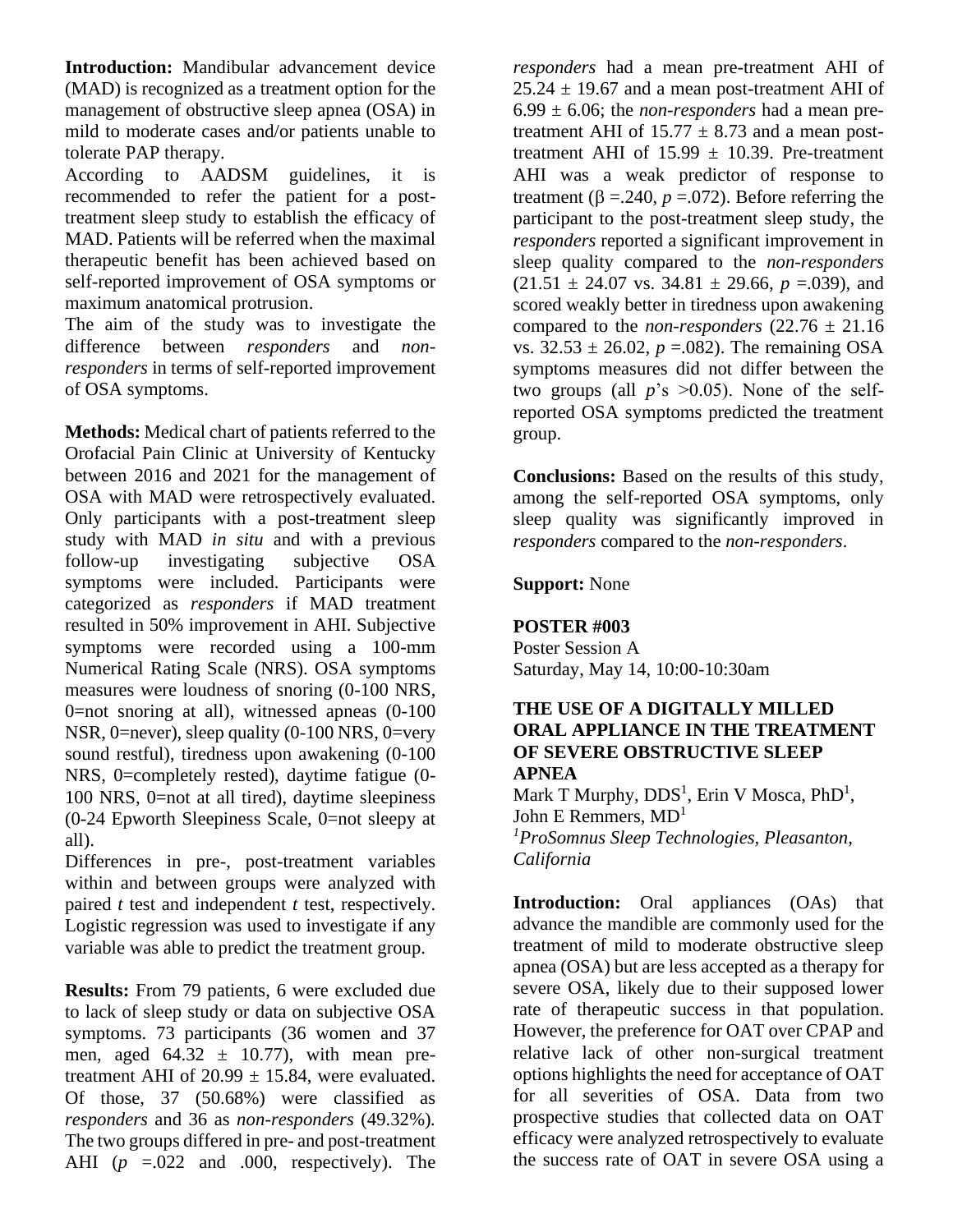**Introduction:** Mandibular advancement device (MAD) is recognized as a treatment option for the management of obstructive sleep apnea (OSA) in mild to moderate cases and/or patients unable to tolerate PAP therapy.

According to AADSM guidelines, it is recommended to refer the patient for a posttreatment sleep study to establish the efficacy of MAD. Patients will be referred when the maximal therapeutic benefit has been achieved based on self-reported improvement of OSA symptoms or maximum anatomical protrusion.

The aim of the study was to investigate the difference between *responders* and *nonresponders* in terms of self-reported improvement of OSA symptoms.

**Methods:** Medical chart of patients referred to the Orofacial Pain Clinic at University of Kentucky between 2016 and 2021 for the management of OSA with MAD were retrospectively evaluated. Only participants with a post-treatment sleep study with MAD *in situ* and with a previous follow-up investigating subjective OSA symptoms were included. Participants were categorized as *responders* if MAD treatment resulted in 50% improvement in AHI. Subjective symptoms were recorded using a 100-mm Numerical Rating Scale (NRS). OSA symptoms measures were loudness of snoring (0-100 NRS, 0=not snoring at all), witnessed apneas (0-100 NSR, 0=never), sleep quality (0-100 NRS, 0=very sound restful), tiredness upon awakening (0-100 NRS, 0=completely rested), daytime fatigue (0- 100 NRS, 0=not at all tired), daytime sleepiness (0-24 Epworth Sleepiness Scale, 0=not sleepy at all).

Differences in pre-, post-treatment variables within and between groups were analyzed with paired *t* test and independent *t* test, respectively. Logistic regression was used to investigate if any variable was able to predict the treatment group.

**Results:** From 79 patients, 6 were excluded due to lack of sleep study or data on subjective OSA symptoms. 73 participants (36 women and 37 men, aged  $64.32 \pm 10.77$ , with mean pretreatment AHI of  $20.99 \pm 15.84$ , were evaluated. Of those, 37 (50.68%) were classified as *responders* and 36 as *non-responders* (49.32%)*.* The two groups differed in pre- and post-treatment AHI (*p* =.022 and .000, respectively). The

*responders* had a mean pre-treatment AHI of  $25.24 \pm 19.67$  and a mean post-treatment AHI of  $6.99 \pm 6.06$ ; the *non-responders* had a mean pretreatment AHI of  $15.77 \pm 8.73$  and a mean posttreatment AHI of  $15.99 \pm 10.39$ . Pre-treatment AHI was a weak predictor of response to treatment ( $\beta = 240$ ,  $p = 072$ ). Before referring the participant to the post-treatment sleep study, the *responders* reported a significant improvement in sleep quality compared to the *non-responders*   $(21.51 \pm 24.07 \text{ vs. } 34.81 \pm 29.66, p = .039)$ , and scored weakly better in tiredness upon awakening compared to the *non-responders*  $(22.76 \pm 21.16)$ vs.  $32.53 \pm 26.02$ ,  $p = .082$ ). The remaining OSA symptoms measures did not differ between the two groups (all  $p$ 's  $>0.05$ ). None of the selfreported OSA symptoms predicted the treatment group.

**Conclusions:** Based on the results of this study, among the self-reported OSA symptoms, only sleep quality was significantly improved in *responders* compared to the *non-responders*.

#### **Support:** None

#### **POSTER #003**

Poster Session A Saturday, May 14, 10:00-10:30am

#### **THE USE OF A DIGITALLY MILLED ORAL APPLIANCE IN THE TREATMENT OF SEVERE OBSTRUCTIVE SLEEP APNEA**

Mark T Murphy,  $DDS<sup>1</sup>$ , Erin V Mosca, PhD<sup>1</sup>, John E Remmers,  $MD<sup>1</sup>$ *<sup>1</sup>ProSomnus Sleep Technologies, Pleasanton, California*

**Introduction:** Oral appliances (OAs) that advance the mandible are commonly used for the treatment of mild to moderate obstructive sleep apnea (OSA) but are less accepted as a therapy for severe OSA, likely due to their supposed lower rate of therapeutic success in that population. However, the preference for OAT over CPAP and relative lack of other non-surgical treatment options highlights the need for acceptance of OAT for all severities of OSA. Data from two prospective studies that collected data on OAT efficacy were analyzed retrospectively to evaluate the success rate of OAT in severe OSA using a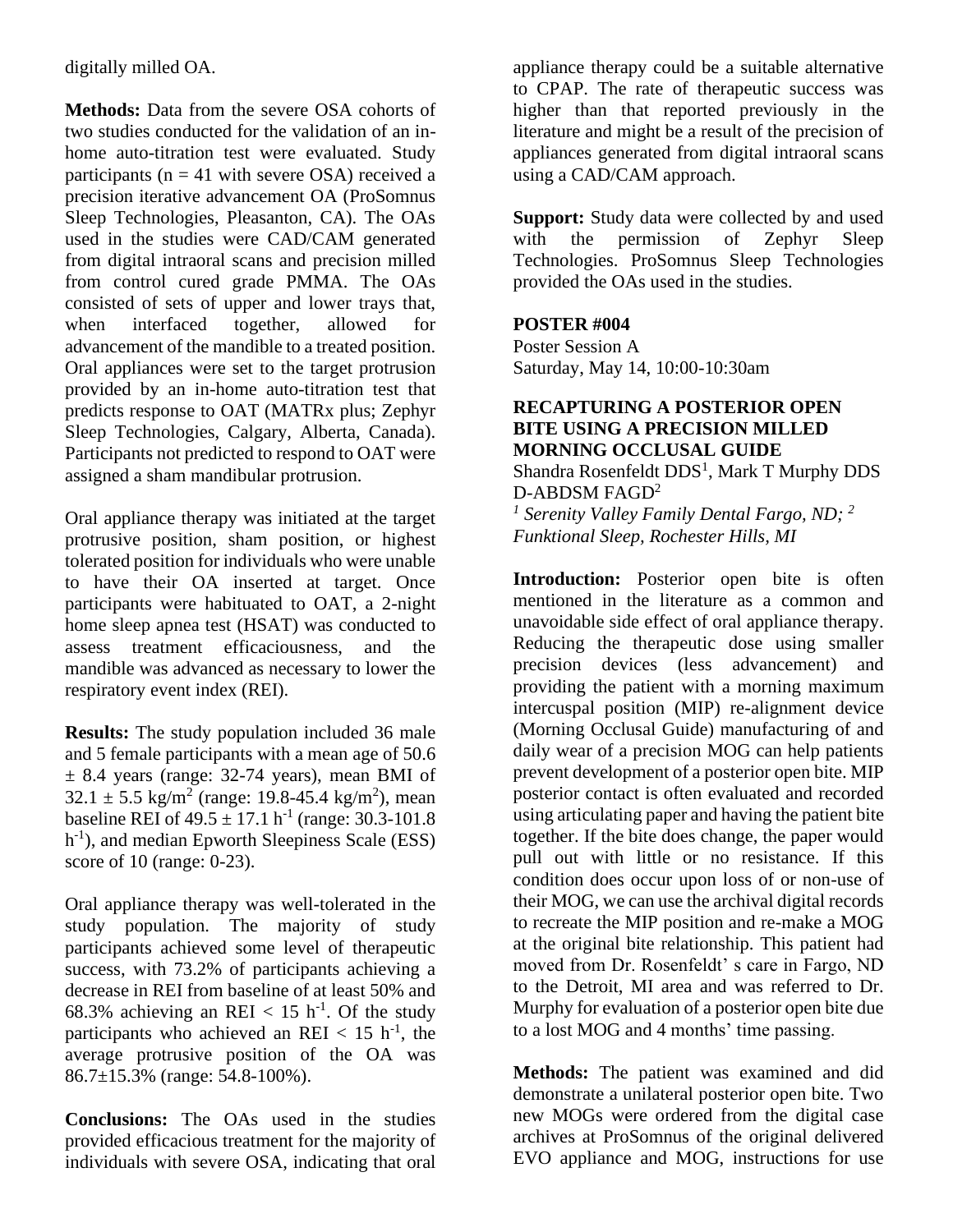digitally milled OA.

**Methods:** Data from the severe OSA cohorts of two studies conducted for the validation of an inhome auto-titration test were evaluated. Study participants ( $n = 41$  with severe OSA) received a precision iterative advancement OA (ProSomnus Sleep Technologies, Pleasanton, CA). The OAs used in the studies were CAD/CAM generated from digital intraoral scans and precision milled from control cured grade PMMA. The OAs consisted of sets of upper and lower trays that, when interfaced together, allowed for advancement of the mandible to a treated position. Oral appliances were set to the target protrusion provided by an in-home auto-titration test that predicts response to OAT (MATRx plus; Zephyr Sleep Technologies, Calgary, Alberta, Canada). Participants not predicted to respond to OAT were assigned a sham mandibular protrusion.

Oral appliance therapy was initiated at the target protrusive position, sham position, or highest tolerated position for individuals who were unable to have their OA inserted at target. Once participants were habituated to OAT, a 2-night home sleep apnea test (HSAT) was conducted to assess treatment efficaciousness, and the mandible was advanced as necessary to lower the respiratory event index (REI).

**Results:** The study population included 36 male and 5 female participants with a mean age of 50.6  $\pm$  8.4 years (range: 32-74 years), mean BMI of  $32.1 \pm 5.5$  kg/m<sup>2</sup> (range: 19.8-45.4 kg/m<sup>2</sup>), mean baseline REI of  $49.5 \pm 17.1$  h<sup>-1</sup> (range: 30.3-101.8) h<sup>-1</sup>), and median Epworth Sleepiness Scale (ESS) score of 10 (range: 0-23).

Oral appliance therapy was well-tolerated in the study population. The majority of study participants achieved some level of therapeutic success, with 73.2% of participants achieving a decrease in REI from baseline of at least 50% and 68.3% achieving an REI <  $15 \text{ h}^{-1}$ . Of the study participants who achieved an REI  $< 15$  h<sup>-1</sup>, the average protrusive position of the OA was 86.7±15.3% (range: 54.8-100%).

**Conclusions:** The OAs used in the studies provided efficacious treatment for the majority of individuals with severe OSA, indicating that oral

appliance therapy could be a suitable alternative to CPAP. The rate of therapeutic success was higher than that reported previously in the literature and might be a result of the precision of appliances generated from digital intraoral scans using a CAD/CAM approach.

**Support:** Study data were collected by and used with the permission of Zephyr Sleep Technologies. ProSomnus Sleep Technologies provided the OAs used in the studies.

## **POSTER #004**

Poster Session A Saturday, May 14, 10:00-10:30am

#### **RECAPTURING A POSTERIOR OPEN BITE USING A PRECISION MILLED MORNING OCCLUSAL GUIDE**

Shandra Rosenfeldt DDS<sup>1</sup>, Mark T Murphy DDS D-ABDSM FAGD<sup>2</sup> *1 Serenity Valley Family Dental Fargo, ND; <sup>2</sup> Funktional Sleep, Rochester Hills, MI*

**Introduction:** Posterior open bite is often mentioned in the literature as a common and unavoidable side effect of oral appliance therapy. Reducing the therapeutic dose using smaller precision devices (less advancement) and providing the patient with a morning maximum intercuspal position (MIP) re-alignment device (Morning Occlusal Guide) manufacturing of and daily wear of a precision MOG can help patients prevent development of a posterior open bite. MIP posterior contact is often evaluated and recorded using articulating paper and having the patient bite together. If the bite does change, the paper would pull out with little or no resistance. If this condition does occur upon loss of or non-use of their MOG, we can use the archival digital records to recreate the MIP position and re-make a MOG at the original bite relationship. This patient had moved from Dr. Rosenfeldt' s care in Fargo, ND to the Detroit, MI area and was referred to Dr. Murphy for evaluation of a posterior open bite due to a lost MOG and 4 months' time passing.

**Methods:** The patient was examined and did demonstrate a unilateral posterior open bite. Two new MOGs were ordered from the digital case archives at ProSomnus of the original delivered EVO appliance and MOG, instructions for use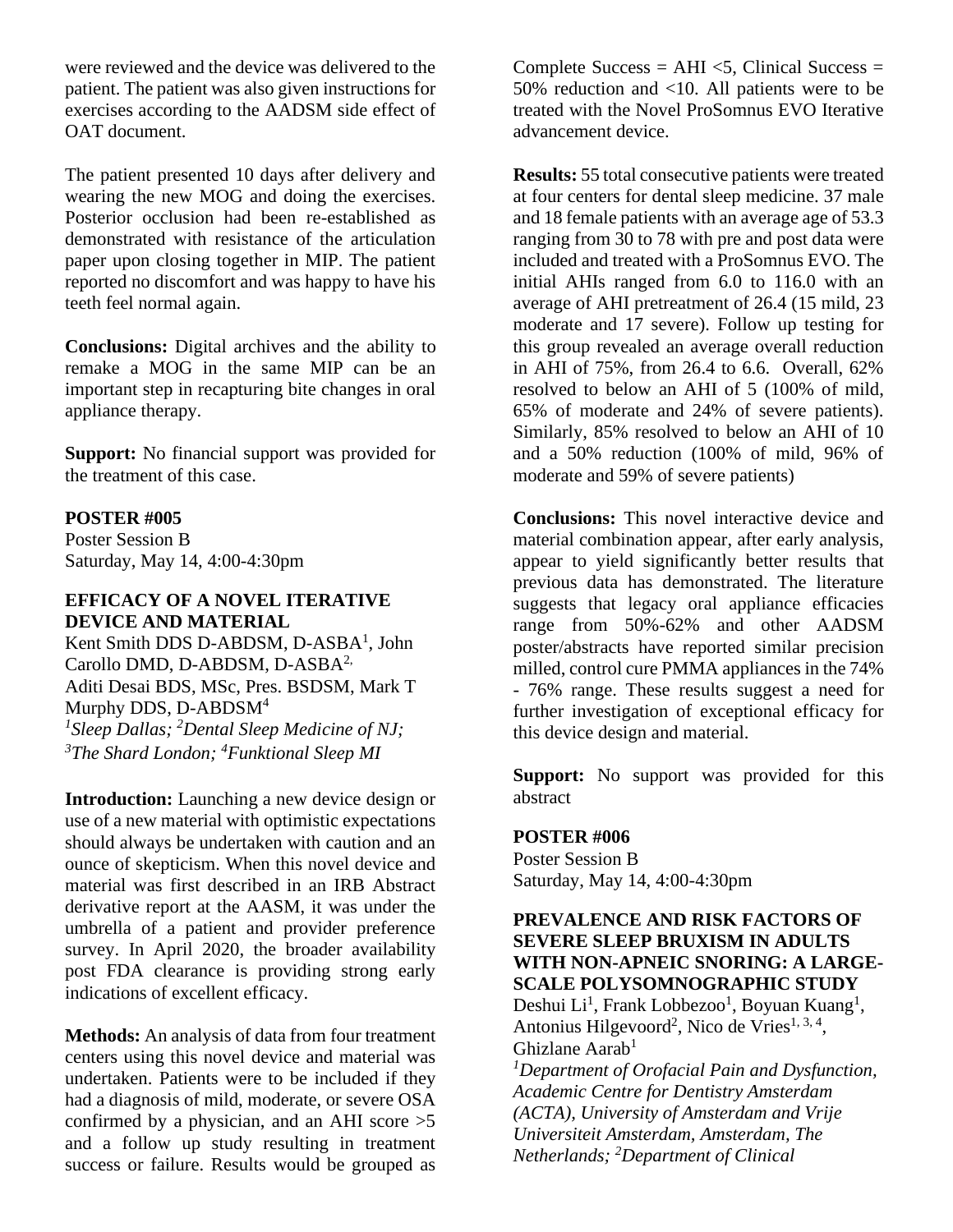were reviewed and the device was delivered to the patient. The patient was also given instructions for exercises according to the AADSM side effect of OAT document.

The patient presented 10 days after delivery and wearing the new MOG and doing the exercises. Posterior occlusion had been re-established as demonstrated with resistance of the articulation paper upon closing together in MIP. The patient reported no discomfort and was happy to have his teeth feel normal again.

**Conclusions:** Digital archives and the ability to remake a MOG in the same MIP can be an important step in recapturing bite changes in oral appliance therapy.

**Support:** No financial support was provided for the treatment of this case.

#### **POSTER #005**

Poster Session B Saturday, May 14, 4:00-4:30pm

#### **EFFICACY OF A NOVEL ITERATIVE DEVICE AND MATERIAL**

Kent Smith DDS D-ABDSM, D-ASBA<sup>1</sup>, John Carollo DMD, D-ABDSM, D-ASBA<sup>2,</sup> Aditi Desai BDS, MSc, Pres. BSDSM, Mark T Murphy DDS, D-ABDSM<sup>4</sup> *<sup>1</sup>Sleep Dallas; <sup>2</sup>Dental Sleep Medicine of NJ; <sup>3</sup>The Shard London; <sup>4</sup>Funktional Sleep MI* 

**Introduction:** Launching a new device design or use of a new material with optimistic expectations should always be undertaken with caution and an ounce of skepticism. When this novel device and material was first described in an IRB Abstract derivative report at the AASM, it was under the umbrella of a patient and provider preference survey. In April 2020, the broader availability post FDA clearance is providing strong early indications of excellent efficacy.

**Methods:** An analysis of data from four treatment centers using this novel device and material was undertaken. Patients were to be included if they had a diagnosis of mild, moderate, or severe OSA confirmed by a physician, and an AHI score >5 and a follow up study resulting in treatment success or failure. Results would be grouped as

Complete Success =  $AHI \leq 5$ , Clinical Success = 50% reduction and <10. All patients were to be treated with the Novel ProSomnus EVO Iterative advancement device.

**Results:** 55 total consecutive patients were treated at four centers for dental sleep medicine. 37 male and 18 female patients with an average age of 53.3 ranging from 30 to 78 with pre and post data were included and treated with a ProSomnus EVO. The initial AHIs ranged from 6.0 to 116.0 with an average of AHI pretreatment of 26.4 (15 mild, 23 moderate and 17 severe). Follow up testing for this group revealed an average overall reduction in AHI of 75%, from 26.4 to 6.6. Overall, 62% resolved to below an AHI of 5 (100% of mild, 65% of moderate and 24% of severe patients). Similarly, 85% resolved to below an AHI of 10 and a 50% reduction (100% of mild, 96% of moderate and 59% of severe patients)

**Conclusions:** This novel interactive device and material combination appear, after early analysis, appear to yield significantly better results that previous data has demonstrated. The literature suggests that legacy oral appliance efficacies range from 50%-62% and other AADSM poster/abstracts have reported similar precision milled, control cure PMMA appliances in the 74% - 76% range. These results suggest a need for further investigation of exceptional efficacy for this device design and material.

**Support:** No support was provided for this abstract

#### **POSTER #006**

Poster Session B Saturday, May 14, 4:00-4:30pm

#### **PREVALENCE AND RISK FACTORS OF SEVERE SLEEP BRUXISM IN ADULTS WITH NON-APNEIC SNORING: A LARGE-SCALE POLYSOMNOGRAPHIC STUDY**

Deshui Li<sup>1</sup>, Frank Lobbezoo<sup>1</sup>, Boyuan Kuang<sup>1</sup>, Antonius Hilgevoord<sup>2</sup>, Nico de Vries<sup>1, 3, 4</sup>, Ghizlane Aarab<sup>1</sup>

*<sup>1</sup>Department of Orofacial Pain and Dysfunction, Academic Centre for Dentistry Amsterdam (ACTA), University of Amsterdam and Vrije Universiteit Amsterdam, Amsterdam, The Netherlands; <sup>2</sup>Department of Clinical*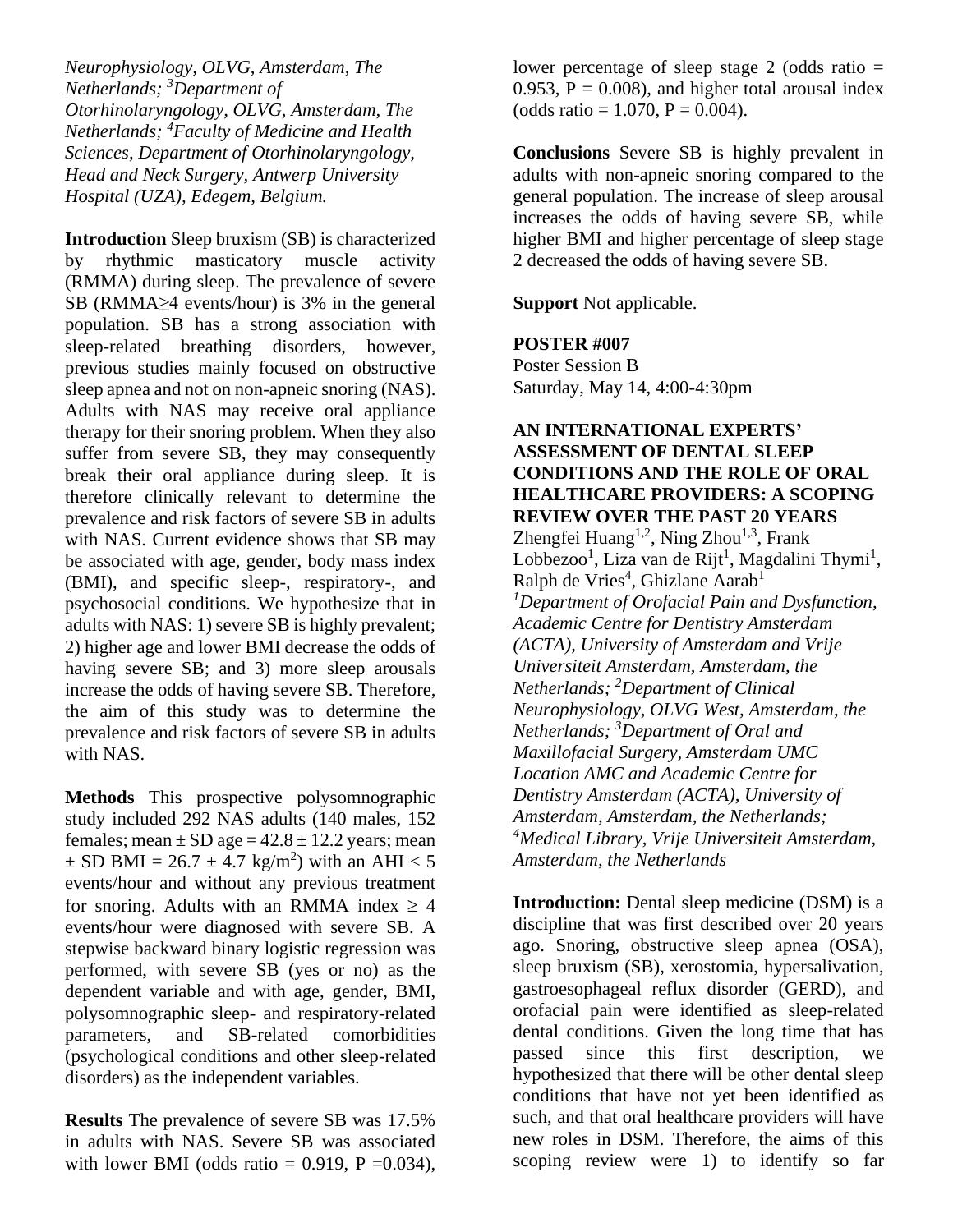*Neurophysiology, OLVG, Amsterdam, The Netherlands; <sup>3</sup>Department of Otorhinolaryngology, OLVG, Amsterdam, The Netherlands; <sup>4</sup>Faculty of Medicine and Health Sciences, Department of Otorhinolaryngology, Head and Neck Surgery, Antwerp University Hospital (UZA), Edegem, Belgium.*

**Introduction** Sleep bruxism (SB) is characterized by rhythmic masticatory muscle activity (RMMA) during sleep. The prevalence of severe SB (RMMA≥4 events/hour) is 3% in the general population. SB has a strong association with sleep-related breathing disorders, however, previous studies mainly focused on obstructive sleep apnea and not on non-apneic snoring (NAS). Adults with NAS may receive oral appliance therapy for their snoring problem. When they also suffer from severe SB, they may consequently break their oral appliance during sleep. It is therefore clinically relevant to determine the prevalence and risk factors of severe SB in adults with NAS. Current evidence shows that SB may be associated with age, gender, body mass index (BMI), and specific sleep-, respiratory-, and psychosocial conditions. We hypothesize that in adults with NAS: 1) severe SB is highly prevalent; 2) higher age and lower BMI decrease the odds of having severe SB; and 3) more sleep arousals increase the odds of having severe SB. Therefore, the aim of this study was to determine the prevalence and risk factors of severe SB in adults with NAS.

**Methods** This prospective polysomnographic study included 292 NAS adults (140 males, 152 females; mean  $\pm$  SD age = 42.8  $\pm$  12.2 years; mean  $\pm$  SD BMI = 26.7  $\pm$  4.7 kg/m<sup>2</sup>) with an AHI < 5 events/hour and without any previous treatment for snoring. Adults with an RMMA index  $\geq 4$ events/hour were diagnosed with severe SB. A stepwise backward binary logistic regression was performed, with severe SB (yes or no) as the dependent variable and with age, gender, BMI, polysomnographic sleep- and respiratory-related parameters, and SB-related comorbidities (psychological conditions and other sleep-related disorders) as the independent variables.

**Results** The prevalence of severe SB was 17.5% in adults with NAS. Severe SB was associated with lower BMI (odds ratio =  $0.919$ , P =  $0.034$ ), lower percentage of sleep stage 2 (odds ratio  $=$ 0.953,  $P = 0.008$ , and higher total arousal index  $(odds ratio = 1.070, P = 0.004).$ 

**Conclusions** Severe SB is highly prevalent in adults with non-apneic snoring compared to the general population. The increase of sleep arousal increases the odds of having severe SB, while higher BMI and higher percentage of sleep stage 2 decreased the odds of having severe SB.

**Support** Not applicable.

#### **POSTER #007**

Poster Session B Saturday, May 14, 4:00-4:30pm

# **AN INTERNATIONAL EXPERTS' ASSESSMENT OF DENTAL SLEEP CONDITIONS AND THE ROLE OF ORAL HEALTHCARE PROVIDERS: A SCOPING REVIEW OVER THE PAST 20 YEARS** Zhengfei Huang<sup>1,2</sup>, Ning Zhou<sup>1,3</sup>, Frank

Lobbezoo<sup>1</sup>, Liza van de Rijt<sup>1</sup>, Magdalini Thymi<sup>1</sup>, Ralph de Vries<sup>4</sup>, Ghizlane Aarab<sup>1</sup> *<sup>1</sup>Department of Orofacial Pain and Dysfunction, Academic Centre for Dentistry Amsterdam (ACTA), University of Amsterdam and Vrije Universiteit Amsterdam, Amsterdam, the Netherlands; <sup>2</sup>Department of Clinical Neurophysiology, OLVG West, Amsterdam, the Netherlands; <sup>3</sup>Department of Oral and Maxillofacial Surgery, Amsterdam UMC Location AMC and Academic Centre for Dentistry Amsterdam (ACTA), University of Amsterdam, Amsterdam, the Netherlands; <sup>4</sup>Medical Library, Vrije Universiteit Amsterdam, Amsterdam, the Netherlands*

**Introduction:** Dental sleep medicine (DSM) is a discipline that was first described over 20 years ago. Snoring, obstructive sleep apnea (OSA), sleep bruxism (SB), xerostomia, hypersalivation, gastroesophageal reflux disorder (GERD), and orofacial pain were identified as sleep-related dental conditions. Given the long time that has passed since this first description, we hypothesized that there will be other dental sleep conditions that have not yet been identified as such, and that oral healthcare providers will have new roles in DSM. Therefore, the aims of this scoping review were 1) to identify so far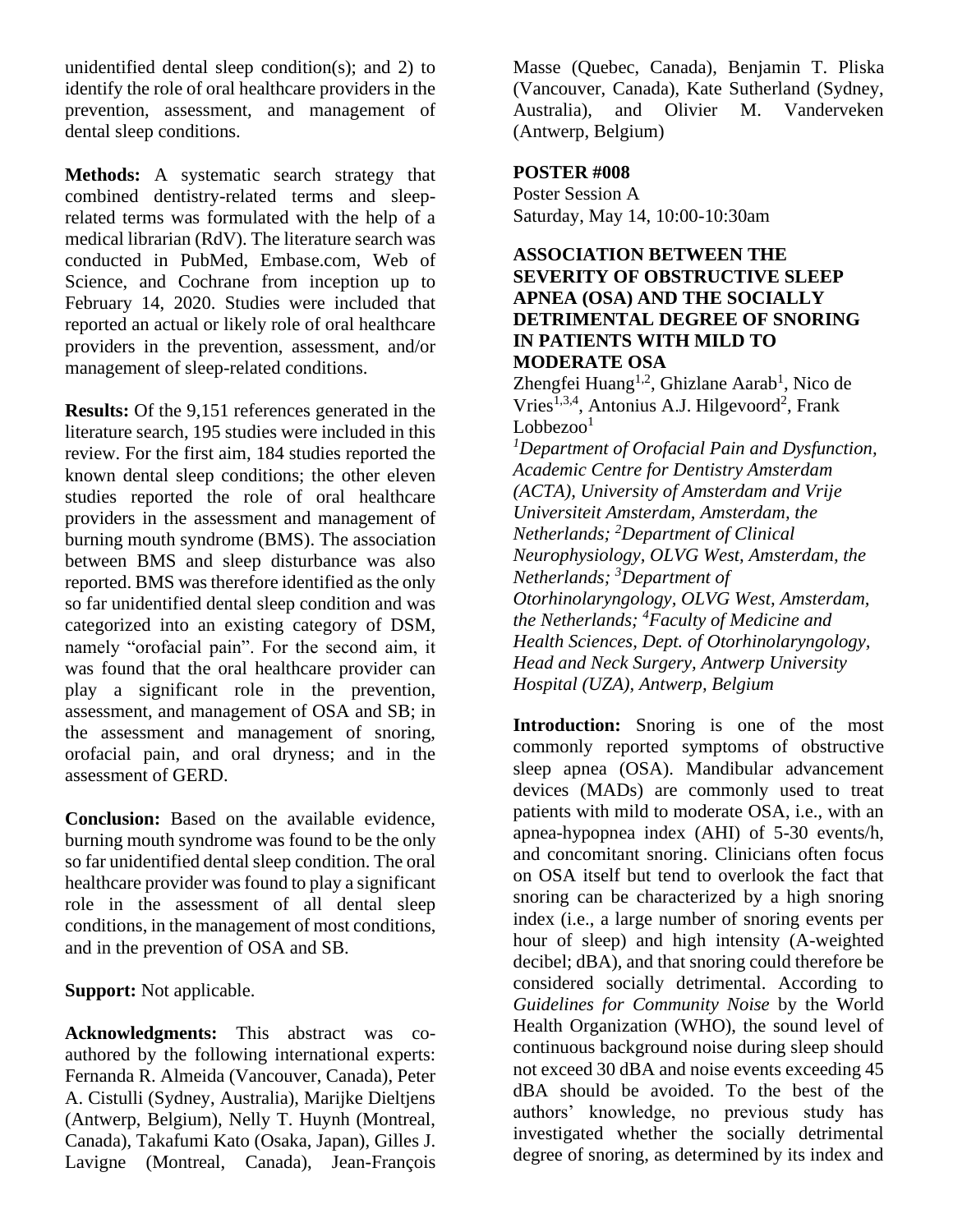unidentified dental sleep condition(s); and 2) to identify the role of oral healthcare providers in the prevention, assessment, and management of dental sleep conditions.

**Methods:** A systematic search strategy that combined dentistry-related terms and sleeprelated terms was formulated with the help of a medical librarian (RdV). The literature search was conducted in PubMed, Embase.com, Web of Science, and Cochrane from inception up to February 14, 2020. Studies were included that reported an actual or likely role of oral healthcare providers in the prevention, assessment, and/or management of sleep-related conditions.

**Results:** Of the 9,151 references generated in the literature search, 195 studies were included in this review. For the first aim, 184 studies reported the known dental sleep conditions; the other eleven studies reported the role of oral healthcare providers in the assessment and management of burning mouth syndrome (BMS). The association between BMS and sleep disturbance was also reported. BMS was therefore identified as the only so far unidentified dental sleep condition and was categorized into an existing category of DSM, namely "orofacial pain". For the second aim, it was found that the oral healthcare provider can play a significant role in the prevention, assessment, and management of OSA and SB; in the assessment and management of snoring, orofacial pain, and oral dryness; and in the assessment of GERD.

**Conclusion:** Based on the available evidence, burning mouth syndrome was found to be the only so far unidentified dental sleep condition. The oral healthcare provider was found to play a significant role in the assessment of all dental sleep conditions, in the management of most conditions, and in the prevention of OSA and SB.

**Support:** Not applicable.

**Acknowledgments:** This abstract was coauthored by the following international experts: Fernanda R. Almeida (Vancouver, Canada), Peter A. Cistulli (Sydney, Australia), Marijke Dieltjens (Antwerp, Belgium), Nelly T. Huynh (Montreal, Canada), Takafumi Kato (Osaka, Japan), Gilles J. Lavigne (Montreal, Canada), Jean-François

Masse (Quebec, Canada), Benjamin T. Pliska (Vancouver, Canada), Kate Sutherland (Sydney, Australia), and Olivier M. Vanderveken (Antwerp, Belgium)

#### **POSTER #008**

Poster Session A Saturday, May 14, 10:00-10:30am

#### **ASSOCIATION BETWEEN THE SEVERITY OF OBSTRUCTIVE SLEEP APNEA (OSA) AND THE SOCIALLY DETRIMENTAL DEGREE OF SNORING IN PATIENTS WITH MILD TO MODERATE OSA**

Zhengfei Huang<sup>1,2</sup>, Ghizlane Aarab<sup>1</sup>, Nico de Vries<sup>1,3,4</sup>, Antonius A.J. Hilgevoord<sup>2</sup>, Frank  $Lobbezoo<sup>1</sup>$ 

*<sup>1</sup>Department of Orofacial Pain and Dysfunction, Academic Centre for Dentistry Amsterdam (ACTA), University of Amsterdam and Vrije Universiteit Amsterdam, Amsterdam, the Netherlands; <sup>2</sup>Department of Clinical Neurophysiology, OLVG West, Amsterdam, the Netherlands; <sup>3</sup>Department of Otorhinolaryngology, OLVG West, Amsterdam, the Netherlands; <sup>4</sup>Faculty of Medicine and Health Sciences, Dept. of Otorhinolaryngology, Head and Neck Surgery, Antwerp University Hospital (UZA), Antwerp, Belgium*

**Introduction:** Snoring is one of the most commonly reported symptoms of obstructive sleep apnea (OSA). Mandibular advancement devices (MADs) are commonly used to treat patients with mild to moderate OSA, i.e., with an apnea-hypopnea index (AHI) of 5-30 events/h, and concomitant snoring. Clinicians often focus on OSA itself but tend to overlook the fact that snoring can be characterized by a high snoring index (i.e., a large number of snoring events per hour of sleep) and high intensity (A-weighted decibel; dBA), and that snoring could therefore be considered socially detrimental. According to *Guidelines for Community Noise* by the World Health Organization (WHO), the sound level of continuous background noise during sleep should not exceed 30 dBA and noise events exceeding 45 dBA should be avoided. To the best of the authors' knowledge, no previous study has investigated whether the socially detrimental degree of snoring, as determined by its index and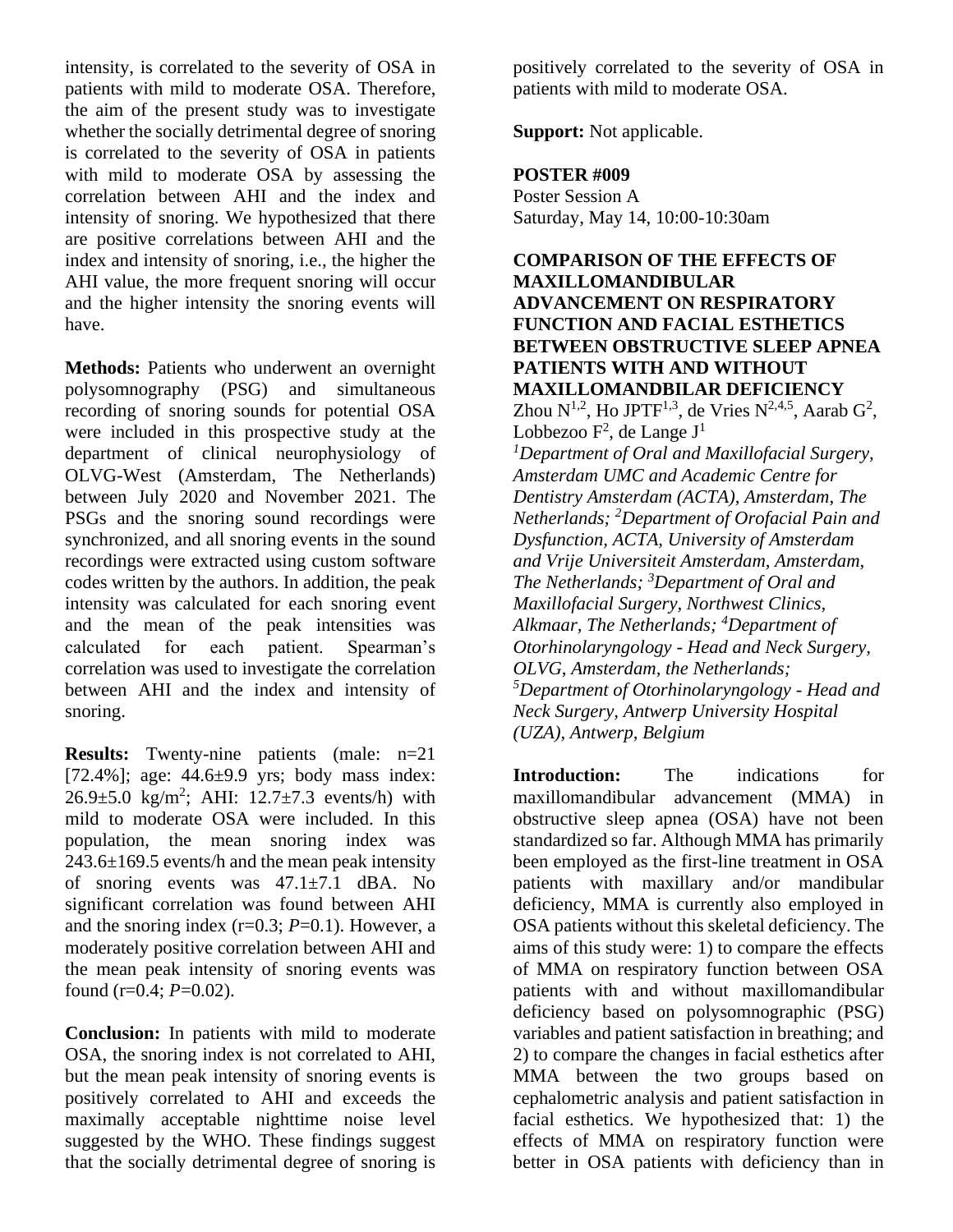intensity, is correlated to the severity of OSA in patients with mild to moderate OSA. Therefore, the aim of the present study was to investigate whether the socially detrimental degree of snoring is correlated to the severity of OSA in patients with mild to moderate OSA by assessing the correlation between AHI and the index and intensity of snoring. We hypothesized that there are positive correlations between AHI and the index and intensity of snoring, i.e., the higher the AHI value, the more frequent snoring will occur and the higher intensity the snoring events will have.

**Methods:** Patients who underwent an overnight polysomnography (PSG) and simultaneous recording of snoring sounds for potential OSA were included in this prospective study at the department of clinical neurophysiology of OLVG-West (Amsterdam, The Netherlands) between July 2020 and November 2021. The PSGs and the snoring sound recordings were synchronized, and all snoring events in the sound recordings were extracted using custom software codes written by the authors. In addition, the peak intensity was calculated for each snoring event and the mean of the peak intensities was calculated for each patient. Spearman's correlation was used to investigate the correlation between AHI and the index and intensity of snoring.

**Results:** Twenty-nine patients (male: n=21 [72.4%]; age: 44.6±9.9 yrs; body mass index:  $26.9 \pm 5.0$  kg/m<sup>2</sup>; AHI:  $12.7 \pm 7.3$  events/h) with mild to moderate OSA were included. In this population, the mean snoring index was 243.6±169.5 events/h and the mean peak intensity of snoring events was  $47.1 \pm 7.1$  dBA. No significant correlation was found between AHI and the snoring index  $(r=0.3; P=0.1)$ . However, a moderately positive correlation between AHI and the mean peak intensity of snoring events was found (r=0.4; *P*=0.02).

**Conclusion:** In patients with mild to moderate OSA, the snoring index is not correlated to AHI, but the mean peak intensity of snoring events is positively correlated to AHI and exceeds the maximally acceptable nighttime noise level suggested by the WHO. These findings suggest that the socially detrimental degree of snoring is

positively correlated to the severity of OSA in patients with mild to moderate OSA.

**Support:** Not applicable.

#### **POSTER #009**

Poster Session A Saturday, May 14, 10:00-10:30am

**COMPARISON OF THE EFFECTS OF MAXILLOMANDIBULAR ADVANCEMENT ON RESPIRATORY FUNCTION AND FACIAL ESTHETICS BETWEEN OBSTRUCTIVE SLEEP APNEA PATIENTS WITH AND WITHOUT MAXILLOMANDBILAR DEFICIENCY** Zhou  $N^{1,2}$ , Ho JPTF<sup>1,3</sup>, de Vries  $N^{2,4,5}$ , Aarab  $G^2$ , Lobbezoo  $F^2$ , de Lange  $J^1$ *<sup>1</sup>Department of Oral and Maxillofacial Surgery, Amsterdam UMC and Academic Centre for Dentistry Amsterdam (ACTA), Amsterdam, The Netherlands; <sup>2</sup>Department of Orofacial Pain and Dysfunction, ACTA, University of Amsterdam and Vrije Universiteit Amsterdam, Amsterdam, The Netherlands; <sup>3</sup>Department of Oral and Maxillofacial Surgery, Northwest Clinics, Alkmaar, The Netherlands; <sup>4</sup>Department of Otorhinolaryngology - Head and Neck Surgery, OLVG, Amsterdam, the Netherlands; <sup>5</sup>Department of Otorhinolaryngology - Head and Neck Surgery, Antwerp University Hospital (UZA), Antwerp, Belgium*

**Introduction:** The indications for maxillomandibular advancement (MMA) in obstructive sleep apnea (OSA) have not been standardized so far. Although MMA has primarily been employed as the first-line treatment in OSA patients with maxillary and/or mandibular deficiency, MMA is currently also employed in OSA patients without this skeletal deficiency. The aims of this study were: 1) to compare the effects of MMA on respiratory function between OSA patients with and without maxillomandibular deficiency based on polysomnographic (PSG) variables and patient satisfaction in breathing; and 2) to compare the changes in facial esthetics after MMA between the two groups based on cephalometric analysis and patient satisfaction in facial esthetics. We hypothesized that: 1) the effects of MMA on respiratory function were better in OSA patients with deficiency than in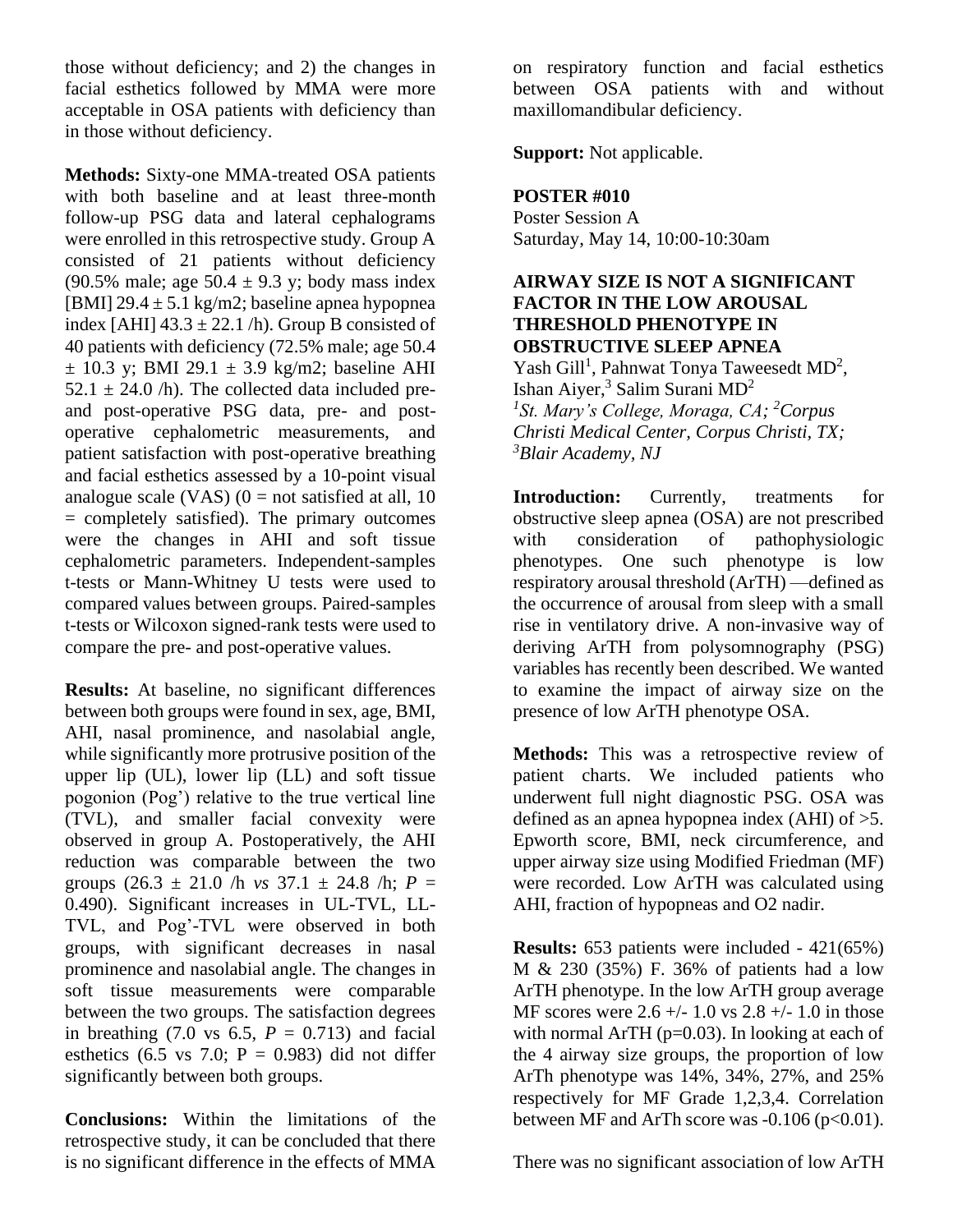those without deficiency; and 2) the changes in facial esthetics followed by MMA were more acceptable in OSA patients with deficiency than in those without deficiency.

**Methods:** Sixty-one MMA-treated OSA patients with both baseline and at least three-month follow-up PSG data and lateral cephalograms were enrolled in this retrospective study. Group A consisted of 21 patients without deficiency (90.5% male; age  $50.4 \pm 9.3$  y; body mass index [BMI]  $29.4 \pm 5.1$  kg/m2; baseline apnea hypopnea index [AHI]  $43.3 \pm 22.1$  /h). Group B consisted of 40 patients with deficiency (72.5% male; age 50.4  $\pm$  10.3 y; BMI 29.1  $\pm$  3.9 kg/m2; baseline AHI  $52.1 \pm 24.0$  /h). The collected data included preand post-operative PSG data, pre- and postoperative cephalometric measurements, and patient satisfaction with post-operative breathing and facial esthetics assessed by a 10-point visual analogue scale (VAS)  $(0 = not satisfied at all, 10)$ = completely satisfied). The primary outcomes were the changes in AHI and soft tissue cephalometric parameters. Independent-samples t-tests or Mann-Whitney U tests were used to compared values between groups. Paired-samples t-tests or Wilcoxon signed-rank tests were used to compare the pre- and post-operative values.

**Results:** At baseline, no significant differences between both groups were found in sex, age, BMI, AHI, nasal prominence, and nasolabial angle, while significantly more protrusive position of the upper lip (UL), lower lip (LL) and soft tissue pogonion (Pog') relative to the true vertical line (TVL), and smaller facial convexity were observed in group A. Postoperatively, the AHI reduction was comparable between the two groups  $(26.3 \pm 21.0)$  h *vs*  $37.1 \pm 24.8$  h;  $P =$ 0.490). Significant increases in UL-TVL, LL-TVL, and Pog'-TVL were observed in both groups, with significant decreases in nasal prominence and nasolabial angle. The changes in soft tissue measurements were comparable between the two groups. The satisfaction degrees in breathing (7.0 vs 6.5,  $P = 0.713$ ) and facial esthetics (6.5 vs 7.0;  $P = 0.983$ ) did not differ significantly between both groups.

**Conclusions:** Within the limitations of the retrospective study, it can be concluded that there is no significant difference in the effects of MMA on respiratory function and facial esthetics between OSA patients with and without maxillomandibular deficiency.

**Support:** Not applicable.

#### **POSTER #010**

Poster Session A Saturday, May 14, 10:00-10:30am

#### **AIRWAY SIZE IS NOT A SIGNIFICANT FACTOR IN THE LOW AROUSAL THRESHOLD PHENOTYPE IN OBSTRUCTIVE SLEEP APNEA**

Yash Gill<sup>1</sup>, Pahnwat Tonya Taweesedt MD<sup>2</sup>, Ishan Aiyer,<sup>3</sup> Salim Surani  $MD<sup>2</sup>$ *1 St. Mary's College, Moraga, CA; <sup>2</sup>Corpus Christi Medical Center, Corpus Christi, TX; <sup>3</sup>Blair Academy, NJ*

**Introduction:** Currently, treatments for obstructive sleep apnea (OSA) are not prescribed with consideration of pathophysiologic phenotypes. One such phenotype is low respiratory arousal threshold (ArTH) —defined as the occurrence of arousal from sleep with a small rise in ventilatory drive. A non-invasive way of deriving ArTH from polysomnography (PSG) variables has recently been described. We wanted to examine the impact of airway size on the presence of low ArTH phenotype OSA.

**Methods:** This was a retrospective review of patient charts. We included patients who underwent full night diagnostic PSG. OSA was defined as an apnea hypopnea index (AHI) of >5. Epworth score, BMI, neck circumference, and upper airway size using Modified Friedman (MF) were recorded. Low ArTH was calculated using AHI, fraction of hypopneas and O2 nadir.

**Results:** 653 patients were included - 421(65%) M & 230 (35%) F. 36% of patients had a low ArTH phenotype. In the low ArTH group average MF scores were  $2.6 +/- 1.0$  vs  $2.8 +/- 1.0$  in those with normal ArTH  $(p=0.03)$ . In looking at each of the 4 airway size groups, the proportion of low ArTh phenotype was 14%, 34%, 27%, and 25% respectively for MF Grade 1,2,3,4. Correlation between MF and ArTh score was  $-0.106$  (p $< 0.01$ ).

There was no significant association of low ArTH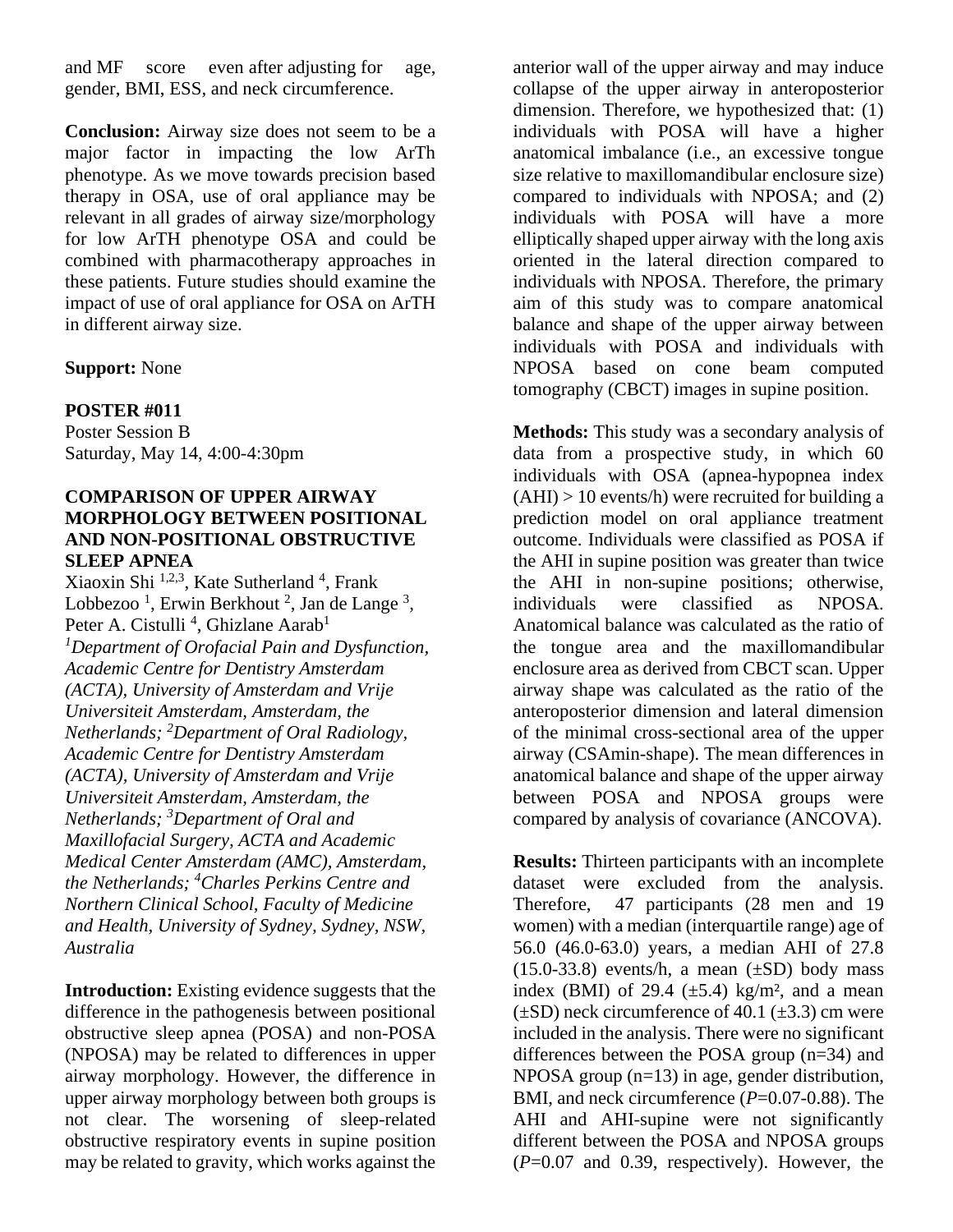and MF score even after adjusting for age, gender, BMI, ESS, and neck circumference.

**Conclusion:** Airway size does not seem to be a major factor in impacting the low ArTh phenotype. As we move towards precision based therapy in OSA, use of oral appliance may be relevant in all grades of airway size/morphology for low ArTH phenotype OSA and could be combined with pharmacotherapy approaches in these patients. Future studies should examine the impact of use of oral appliance for OSA on ArTH in different airway size.

#### **Support:** None

#### **POSTER #011**

Poster Session B Saturday, May 14, 4:00-4:30pm

#### **COMPARISON OF UPPER AIRWAY MORPHOLOGY BETWEEN POSITIONAL AND NON-POSITIONAL OBSTRUCTIVE SLEEP APNEA**

Xiaoxin Shi <sup>1,2,3</sup>, Kate Sutherland<sup>4</sup>, Frank Lobbezoo<sup>1</sup>, Erwin Berkhout<sup>2</sup>, Jan de Lange<sup>3</sup>, Peter A. Cistulli<sup>4</sup>, Ghizlane Aarab<sup>1</sup> *<sup>1</sup>Department of Orofacial Pain and Dysfunction, Academic Centre for Dentistry Amsterdam (ACTA), University of Amsterdam and Vrije Universiteit Amsterdam, Amsterdam, the Netherlands; <sup>2</sup>Department of Oral Radiology, Academic Centre for Dentistry Amsterdam (ACTA), University of Amsterdam and Vrije Universiteit Amsterdam, Amsterdam, the Netherlands; <sup>3</sup>Department of Oral and Maxillofacial Surgery, ACTA and Academic Medical Center Amsterdam (AMC), Amsterdam, the Netherlands; <sup>4</sup>Charles Perkins Centre and Northern Clinical School, Faculty of Medicine and Health, University of Sydney, Sydney, NSW, Australia*

**Introduction:** Existing evidence suggests that the difference in the pathogenesis between positional obstructive sleep apnea (POSA) and non-POSA (NPOSA) may be related to differences in upper airway morphology. However, the difference in upper airway morphology between both groups is not clear. The worsening of sleep-related obstructive respiratory events in supine position may be related to gravity, which works against the

anterior wall of the upper airway and may induce collapse of the upper airway in anteroposterior dimension. Therefore, we hypothesized that: (1) individuals with POSA will have a higher anatomical imbalance (i.e., an excessive tongue size relative to maxillomandibular enclosure size) compared to individuals with NPOSA; and (2) individuals with POSA will have a more elliptically shaped upper airway with the long axis oriented in the lateral direction compared to individuals with NPOSA. Therefore, the primary aim of this study was to compare anatomical balance and shape of the upper airway between individuals with POSA and individuals with NPOSA based on cone beam computed tomography (CBCT) images in supine position.

**Methods:** This study was a secondary analysis of data from a prospective study, in which 60 individuals with OSA (apnea-hypopnea index  $(AHI) > 10$  events/h) were recruited for building a prediction model on oral appliance treatment outcome. Individuals were classified as POSA if the AHI in supine position was greater than twice the AHI in non-supine positions; otherwise, individuals were classified as NPOSA. Anatomical balance was calculated as the ratio of the tongue area and the maxillomandibular enclosure area as derived from CBCT scan. Upper airway shape was calculated as the ratio of the anteroposterior dimension and lateral dimension of the minimal cross-sectional area of the upper airway (CSAmin-shape). The mean differences in anatomical balance and shape of the upper airway between POSA and NPOSA groups were compared by analysis of covariance (ANCOVA).

**Results:** Thirteen participants with an incomplete dataset were excluded from the analysis. Therefore, 47 participants (28 men and 19 women) with a median (interquartile range) age of 56.0 (46.0-63.0) years, a median AHI of 27.8  $(15.0-33.8)$  events/h, a mean  $(\pm SD)$  body mass index (BMI) of 29.4  $(\pm 5.4)$  kg/m<sup>2</sup>, and a mean  $(\pm SD)$  neck circumference of 40.1 ( $\pm 3.3$ ) cm were included in the analysis. There were no significant differences between the POSA group (n=34) and NPOSA group (n=13) in age, gender distribution, BMI, and neck circumference (*P*=0.07-0.88). The AHI and AHI-supine were not significantly different between the POSA and NPOSA groups (*P*=0.07 and 0.39, respectively). However, the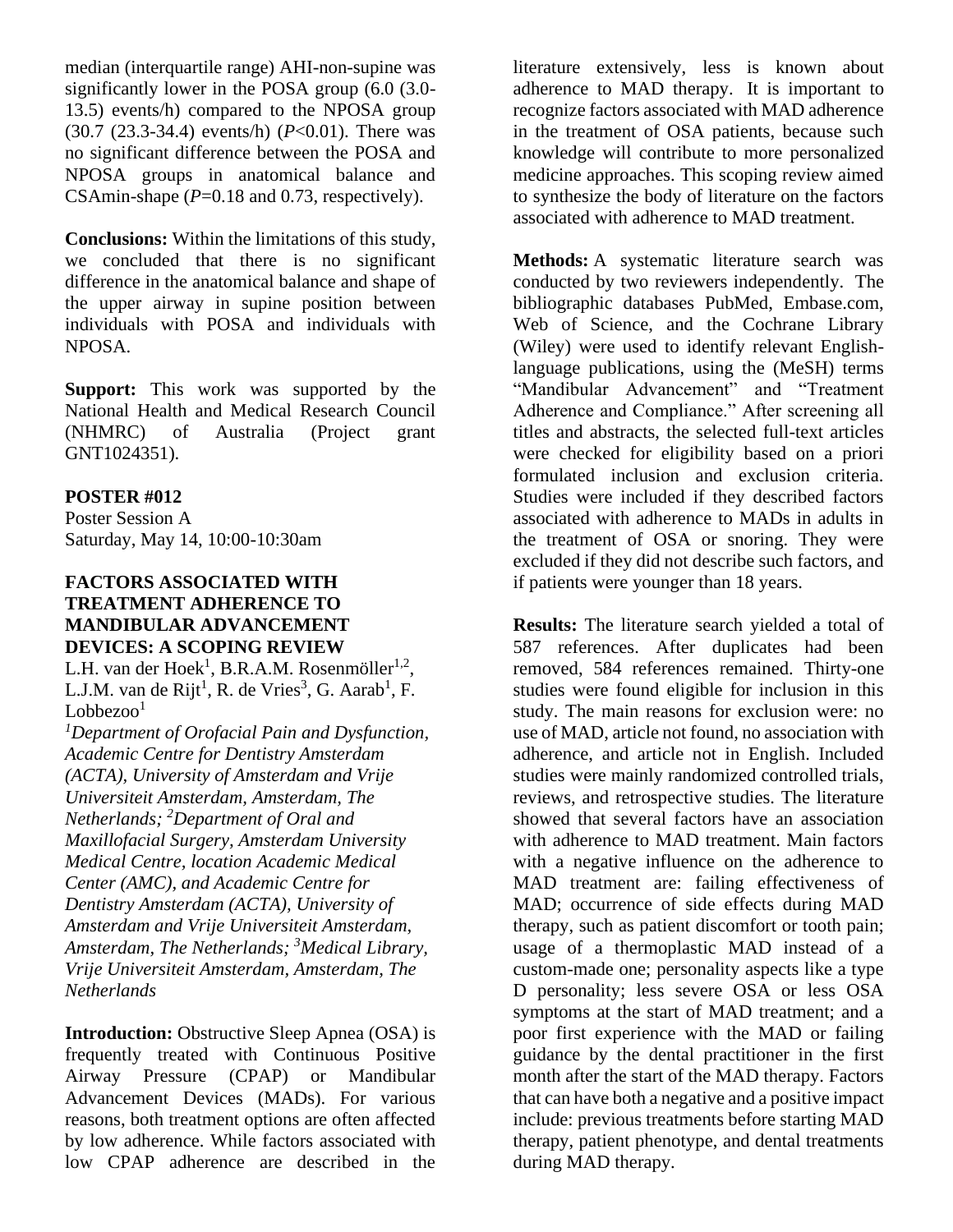median (interquartile range) AHI-non-supine was significantly lower in the POSA group (6.0 (3.0- 13.5) events/h) compared to the NPOSA group (30.7 (23.3-34.4) events/h) (*P*<0.01). There was no significant difference between the POSA and NPOSA groups in anatomical balance and CSAmin-shape ( $P=0.18$  and 0.73, respectively).

**Conclusions:** Within the limitations of this study, we concluded that there is no significant difference in the anatomical balance and shape of the upper airway in supine position between individuals with POSA and individuals with NPOSA.

**Support:** This work was supported by the National Health and Medical Research Council (NHMRC) of Australia (Project grant GNT1024351).

#### **POSTER #012**

Poster Session A Saturday, May 14, 10:00-10:30am

#### **FACTORS ASSOCIATED WITH TREATMENT ADHERENCE TO MANDIBULAR ADVANCEMENT DEVICES: A SCOPING REVIEW**

L.H. van der Hoek<sup>1</sup>, B.R.A.M. Rosenmöller<sup>1,2</sup>, L.J.M. van de Rijt<sup>1</sup>, R. de Vries<sup>3</sup>, G. Aarab<sup>1</sup>, F.  $Lobbezoo<sup>1</sup>$ 

*<sup>1</sup>Department of Orofacial Pain and Dysfunction, Academic Centre for Dentistry Amsterdam (ACTA), University of Amsterdam and Vrije Universiteit Amsterdam, Amsterdam, The Netherlands; <sup>2</sup>Department of Oral and Maxillofacial Surgery, Amsterdam University Medical Centre, location Academic Medical Center (AMC), and Academic Centre for Dentistry Amsterdam (ACTA), University of Amsterdam and Vrije Universiteit Amsterdam, Amsterdam, The Netherlands; <sup>3</sup>Medical Library, Vrije Universiteit Amsterdam, Amsterdam, The Netherlands*

**Introduction:** Obstructive Sleep Apnea (OSA) is frequently treated with Continuous Positive Airway Pressure (CPAP) or Mandibular Advancement Devices (MADs). For various reasons, both treatment options are often affected by low adherence. While factors associated with low CPAP adherence are described in the

literature extensively, less is known about adherence to MAD therapy. It is important to recognize factors associated with MAD adherence in the treatment of OSA patients, because such knowledge will contribute to more personalized medicine approaches. This scoping review aimed to synthesize the body of literature on the factors associated with adherence to MAD treatment.

**Methods:** A systematic literature search was conducted by two reviewers independently. The bibliographic databases PubMed, Embase.com, Web of Science, and the Cochrane Library (Wiley) were used to identify relevant Englishlanguage publications, using the (MeSH) terms "Mandibular Advancement" and "Treatment Adherence and Compliance." After screening all titles and abstracts, the selected full-text articles were checked for eligibility based on a priori formulated inclusion and exclusion criteria. Studies were included if they described factors associated with adherence to MADs in adults in the treatment of OSA or snoring. They were excluded if they did not describe such factors, and if patients were younger than 18 years.

**Results:** The literature search yielded a total of 587 references. After duplicates had been removed, 584 references remained. Thirty-one studies were found eligible for inclusion in this study. The main reasons for exclusion were: no use of MAD, article not found, no association with adherence, and article not in English. Included studies were mainly randomized controlled trials, reviews, and retrospective studies. The literature showed that several factors have an association with adherence to MAD treatment. Main factors with a negative influence on the adherence to MAD treatment are: failing effectiveness of MAD; occurrence of side effects during MAD therapy, such as patient discomfort or tooth pain; usage of a thermoplastic MAD instead of a custom-made one; personality aspects like a type D personality; less severe OSA or less OSA symptoms at the start of MAD treatment; and a poor first experience with the MAD or failing guidance by the dental practitioner in the first month after the start of the MAD therapy. Factors that can have both a negative and a positive impact include: previous treatments before starting MAD therapy, patient phenotype, and dental treatments during MAD therapy.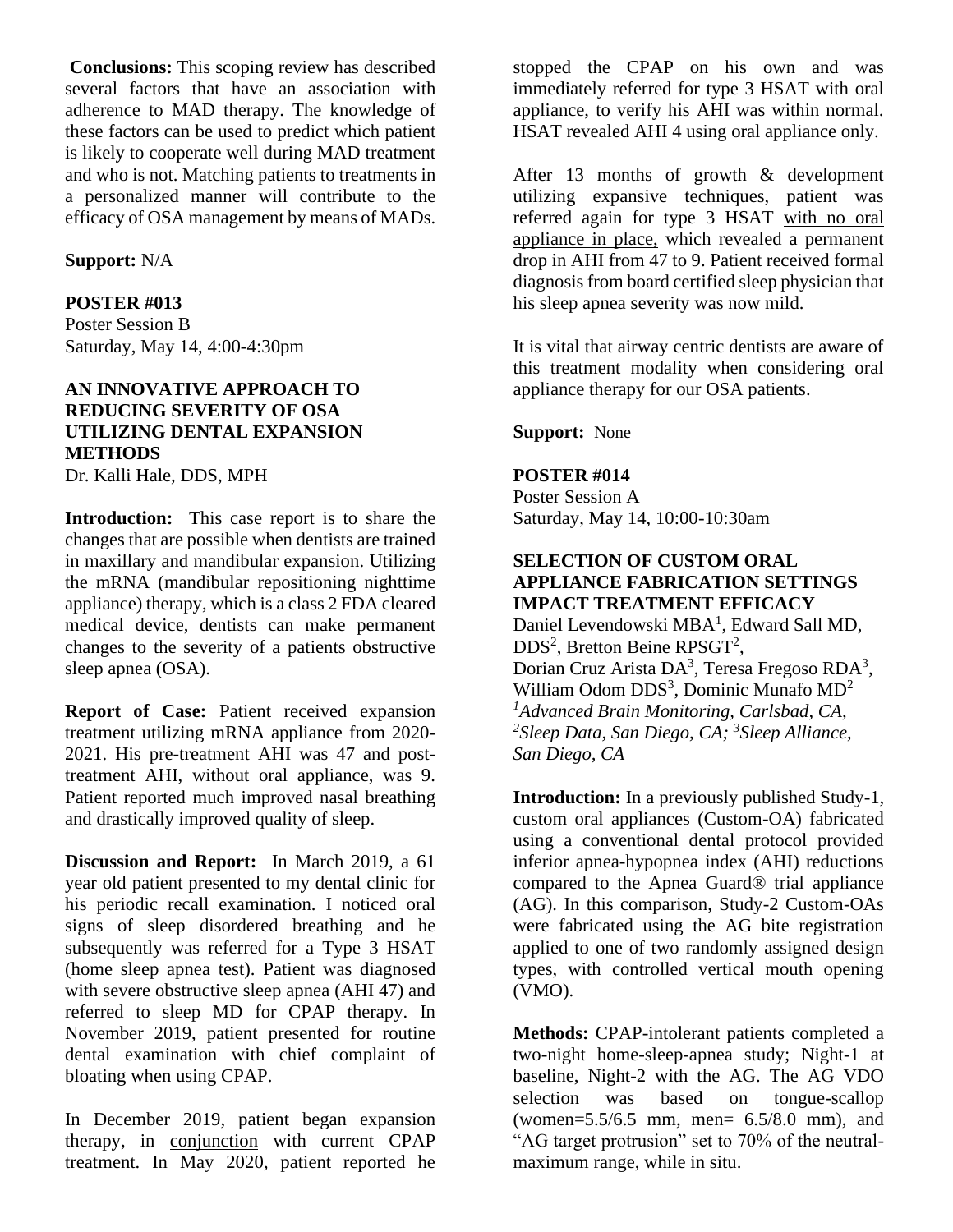**Conclusions:** This scoping review has described several factors that have an association with adherence to MAD therapy. The knowledge of these factors can be used to predict which patient is likely to cooperate well during MAD treatment and who is not. Matching patients to treatments in a personalized manner will contribute to the efficacy of OSA management by means of MADs.

#### **Support:** N/A

#### **POSTER #013**

Poster Session B Saturday, May 14, 4:00-4:30pm

# **AN INNOVATIVE APPROACH TO REDUCING SEVERITY OF OSA UTILIZING DENTAL EXPANSION METHODS**

Dr. Kalli Hale, DDS, MPH

**Introduction:** This case report is to share the changes that are possible when dentists are trained in maxillary and mandibular expansion. Utilizing the mRNA (mandibular repositioning nighttime appliance) therapy, which is a class 2 FDA cleared medical device, dentists can make permanent changes to the severity of a patients obstructive sleep apnea (OSA).

**Report of Case:** Patient received expansion treatment utilizing mRNA appliance from 2020- 2021. His pre-treatment AHI was 47 and posttreatment AHI, without oral appliance, was 9. Patient reported much improved nasal breathing and drastically improved quality of sleep.

**Discussion and Report:** In March 2019, a 61 year old patient presented to my dental clinic for his periodic recall examination. I noticed oral signs of sleep disordered breathing and he subsequently was referred for a Type 3 HSAT (home sleep apnea test). Patient was diagnosed with severe obstructive sleep apnea (AHI 47) and referred to sleep MD for CPAP therapy. In November 2019, patient presented for routine dental examination with chief complaint of bloating when using CPAP.

In December 2019, patient began expansion therapy, in conjunction with current CPAP treatment. In May 2020, patient reported he

stopped the CPAP on his own and was immediately referred for type 3 HSAT with oral appliance, to verify his AHI was within normal. HSAT revealed AHI 4 using oral appliance only.

After 13 months of growth & development utilizing expansive techniques, patient was referred again for type 3 HSAT with no oral appliance in place, which revealed a permanent drop in AHI from 47 to 9. Patient received formal diagnosis from board certified sleep physician that his sleep apnea severity was now mild.

It is vital that airway centric dentists are aware of this treatment modality when considering oral appliance therapy for our OSA patients.

**Support:** None

#### **POSTER #014**

Poster Session A Saturday, May 14, 10:00-10:30am

#### **SELECTION OF CUSTOM ORAL APPLIANCE FABRICATION SETTINGS IMPACT TREATMENT EFFICACY**

Daniel Levendowski MBA<sup>1</sup>, Edward Sall MD, DDS<sup>2</sup>, Bretton Beine RPSGT<sup>2</sup>, Dorian Cruz Arista DA<sup>3</sup>, Teresa Fregoso RDA<sup>3</sup>, William Odom DDS<sup>3</sup>, Dominic Munafo MD<sup>2</sup> *<sup>1</sup>Advanced Brain Monitoring, Carlsbad, CA, 2 Sleep Data, San Diego, CA; <sup>3</sup> Sleep Alliance, San Diego, CA*

**Introduction:** In a previously published Study-1, custom oral appliances (Custom-OA) fabricated using a conventional dental protocol provided inferior apnea-hypopnea index (AHI) reductions compared to the Apnea Guard® trial appliance (AG). In this comparison, Study-2 Custom-OAs were fabricated using the AG bite registration applied to one of two randomly assigned design types, with controlled vertical mouth opening (VMO).

**Methods:** CPAP-intolerant patients completed a two-night home-sleep-apnea study; Night-1 at baseline, Night-2 with the AG. The AG VDO selection was based on tongue-scallop (women=5.5/6.5 mm, men= 6.5/8.0 mm), and "AG target protrusion" set to 70% of the neutralmaximum range, while in situ.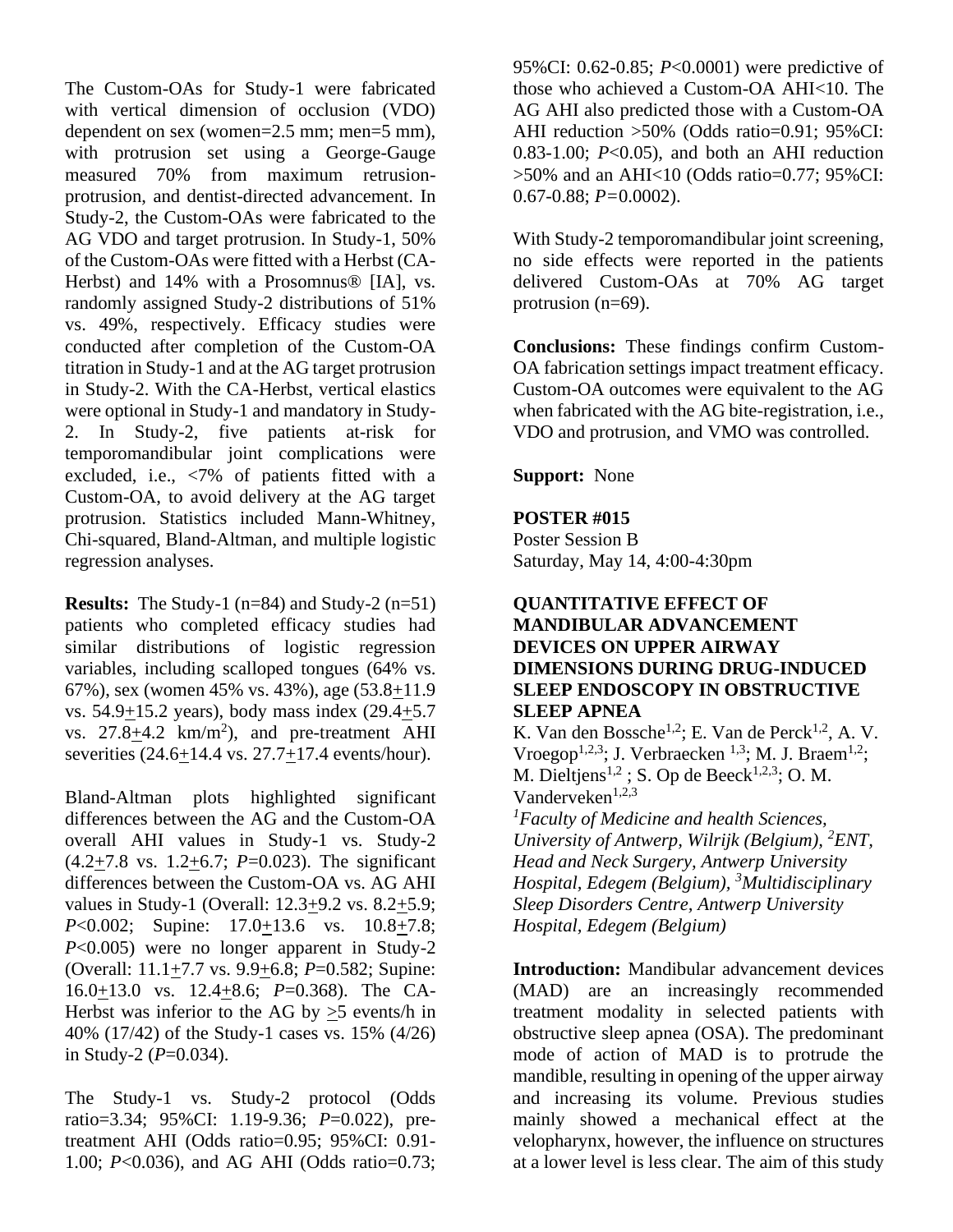The Custom-OAs for Study-1 were fabricated with vertical dimension of occlusion (VDO) dependent on sex (women=2.5 mm; men=5 mm), with protrusion set using a George-Gauge measured 70% from maximum retrusionprotrusion, and dentist-directed advancement. In Study-2, the Custom-OAs were fabricated to the AG VDO and target protrusion. In Study-1, 50% of the Custom-OAs were fitted with a Herbst (CA-Herbst) and 14% with a Prosomnus® [IA], vs. randomly assigned Study-2 distributions of 51% vs. 49%, respectively. Efficacy studies were conducted after completion of the Custom-OA titration in Study-1 and at the AG target protrusion in Study-2. With the CA-Herbst, vertical elastics were optional in Study-1 and mandatory in Study-2. In Study-2, five patients at-risk for temporomandibular joint complications were excluded, i.e., <7% of patients fitted with a Custom-OA, to avoid delivery at the AG target protrusion. Statistics included Mann-Whitney, Chi-squared, Bland-Altman, and multiple logistic regression analyses.

**Results:** The Study-1 (n=84) and Study-2 (n=51) patients who completed efficacy studies had similar distributions of logistic regression variables, including scalloped tongues (64% vs. 67%), sex (women 45% vs. 43%), age (53.8+11.9 vs. 54.9+15.2 years), body mass index (29.4+5.7 vs.  $27.8 \pm 4.2$  km/m<sup>2</sup>), and pre-treatment AHI severities (24.6+14.4 vs. 27.7+17.4 events/hour).

Bland-Altman plots highlighted significant differences between the AG and the Custom-OA overall AHI values in Study-1 vs. Study-2 (4.2+7.8 vs. 1.2+6.7; *P*=0.023). The significant differences between the Custom-OA vs. AG AHI values in Study-1 (Overall: 12.3+9.2 vs. 8.2+5.9; *P*<0.002; Supine: 17.0+13.6 vs. 10.8+7.8; *P*<0.005) were no longer apparent in Study-2 (Overall: 11.1+7.7 vs. 9.9+6.8; *P*=0.582; Supine: 16.0+13.0 vs. 12.4+8.6; *P*=0.368). The CA-Herbst was inferior to the AG by >5 events/h in 40% (17/42) of the Study-1 cases vs. 15% (4/26) in Study-2  $(P=0.034)$ .

The Study-1 vs. Study-2 protocol (Odds ratio=3.34; 95%CI: 1.19-9.36; *P*=0.022), pretreatment AHI (Odds ratio=0.95; 95%CI: 0.91- 1.00; *P*<0.036), and AG AHI (Odds ratio=0.73; 95%CI: 0.62-0.85; *P*<0.0001) were predictive of those who achieved a Custom-OA AHI<10. The AG AHI also predicted those with a Custom-OA AHI reduction >50% (Odds ratio=0.91; 95%CI: 0.83-1.00; *P*<0.05), and both an AHI reduction  $>50\%$  and an AHI<10 (Odds ratio=0.77; 95%CI: 0.67-0.88; *P=*0.0002).

With Study-2 temporomandibular joint screening, no side effects were reported in the patients delivered Custom-OAs at 70% AG target protrusion (n=69).

**Conclusions:** These findings confirm Custom-OA fabrication settings impact treatment efficacy. Custom-OA outcomes were equivalent to the AG when fabricated with the AG bite-registration, i.e., VDO and protrusion, and VMO was controlled.

**Support:** None

#### **POSTER #015**

Poster Session B Saturday, May 14, 4:00-4:30pm

#### **QUANTITATIVE EFFECT OF MANDIBULAR ADVANCEMENT DEVICES ON UPPER AIRWAY DIMENSIONS DURING DRUG-INDUCED SLEEP ENDOSCOPY IN OBSTRUCTIVE SLEEP APNEA**

K. Van den Bossche<sup>1,2</sup>; E. Van de Perck<sup>1,2</sup>, A. V. Vroegop<sup>1,2,3</sup>; J. Verbraecken <sup>1,3</sup>; M. J. Braem<sup>1,2</sup>; M. Dieltjens<sup>1,2</sup>; S. Op de Beeck<sup>1,2,3</sup>; O. M. Vanderveken $1,2,3$ 

*<sup>1</sup>Faculty of Medicine and health Sciences, University of Antwerp, Wilrijk (Belgium), <sup>2</sup>ENT, Head and Neck Surgery, Antwerp University Hospital, Edegem (Belgium), <sup>3</sup>Multidisciplinary Sleep Disorders Centre, Antwerp University Hospital, Edegem (Belgium)*

**Introduction:** Mandibular advancement devices (MAD) are an increasingly recommended treatment modality in selected patients with obstructive sleep apnea (OSA). The predominant mode of action of MAD is to protrude the mandible, resulting in opening of the upper airway and increasing its volume. Previous studies mainly showed a mechanical effect at the velopharynx, however, the influence on structures at a lower level is less clear. The aim of this study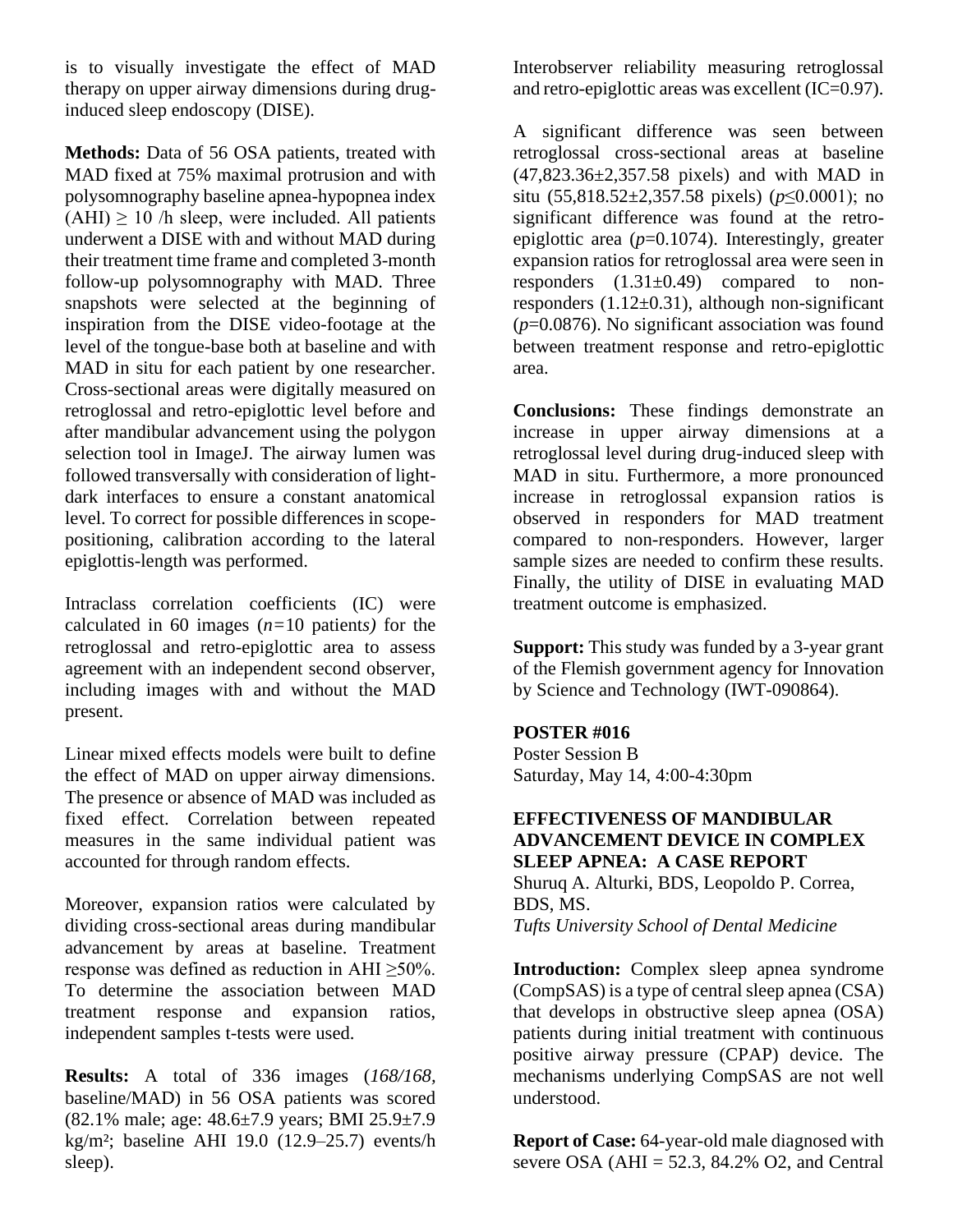is to visually investigate the effect of MAD therapy on upper airway dimensions during druginduced sleep endoscopy (DISE).

**Methods:** Data of 56 OSA patients, treated with MAD fixed at 75% maximal protrusion and with polysomnography baseline apnea-hypopnea index  $(AHI) \ge 10$  /h sleep, were included. All patients underwent a DISE with and without MAD during their treatment time frame and completed 3-month follow-up polysomnography with MAD. Three snapshots were selected at the beginning of inspiration from the DISE video-footage at the level of the tongue-base both at baseline and with MAD in situ for each patient by one researcher. Cross-sectional areas were digitally measured on retroglossal and retro-epiglottic level before and after mandibular advancement using the polygon selection tool in ImageJ. The airway lumen was followed transversally with consideration of lightdark interfaces to ensure a constant anatomical level. To correct for possible differences in scopepositioning, calibration according to the lateral epiglottis-length was performed.

Intraclass correlation coefficients (IC) were calculated in 60 images (*n=*10 patient*s)* for the retroglossal and retro-epiglottic area to assess agreement with an independent second observer, including images with and without the MAD present.

Linear mixed effects models were built to define the effect of MAD on upper airway dimensions. The presence or absence of MAD was included as fixed effect. Correlation between repeated measures in the same individual patient was accounted for through random effects.

Moreover, expansion ratios were calculated by dividing cross-sectional areas during mandibular advancement by areas at baseline. Treatment response was defined as reduction in AHI ≥50%. To determine the association between MAD treatment response and expansion ratios, independent samples t-tests were used.

**Results:** A total of 336 images (*168/168,*  baseline/MAD) in 56 OSA patients was scored (82.1% male; age: 48.6±7.9 years; BMI 25.9±7.9 kg/m²; baseline AHI 19.0 (12.9–25.7) events/h sleep).

Interobserver reliability measuring retroglossal and retro-epiglottic areas was excellent (IC=0.97).

A significant difference was seen between retroglossal cross-sectional areas at baseline (47,823.36±2,357.58 pixels) and with MAD in situ (55,818.52±2,357.58 pixels) (*p*≤0.0001); no significant difference was found at the retroepiglottic area (*p*=0.1074). Interestingly, greater expansion ratios for retroglossal area were seen in responders  $(1.31\pm0.49)$  compared to nonresponders  $(1.12\pm0.31)$ , although non-significant (*p*=0.0876). No significant association was found between treatment response and retro-epiglottic area.

**Conclusions:** These findings demonstrate an increase in upper airway dimensions at a retroglossal level during drug-induced sleep with MAD in situ. Furthermore, a more pronounced increase in retroglossal expansion ratios is observed in responders for MAD treatment compared to non-responders. However, larger sample sizes are needed to confirm these results. Finally, the utility of DISE in evaluating MAD treatment outcome is emphasized.

**Support:** This study was funded by a 3-year grant of the Flemish government agency for Innovation by Science and Technology (IWT-090864).

#### **POSTER #016**

Poster Session B Saturday, May 14, 4:00-4:30pm

# **EFFECTIVENESS OF MANDIBULAR ADVANCEMENT DEVICE IN COMPLEX SLEEP APNEA: A CASE REPORT**

Shuruq A. Alturki, BDS, Leopoldo P. Correa, BDS, MS. *Tufts University School of Dental Medicine*

**Introduction:** Complex sleep apnea syndrome (CompSAS) is a type of central sleep apnea (CSA) that develops in obstructive sleep apnea (OSA) patients during initial treatment with continuous positive airway pressure (CPAP) device. The mechanisms underlying CompSAS are not well understood.

**Report of Case:** 64-year-old male diagnosed with severe OSA ( $AHI = 52.3$ , 84.2% O2, and Central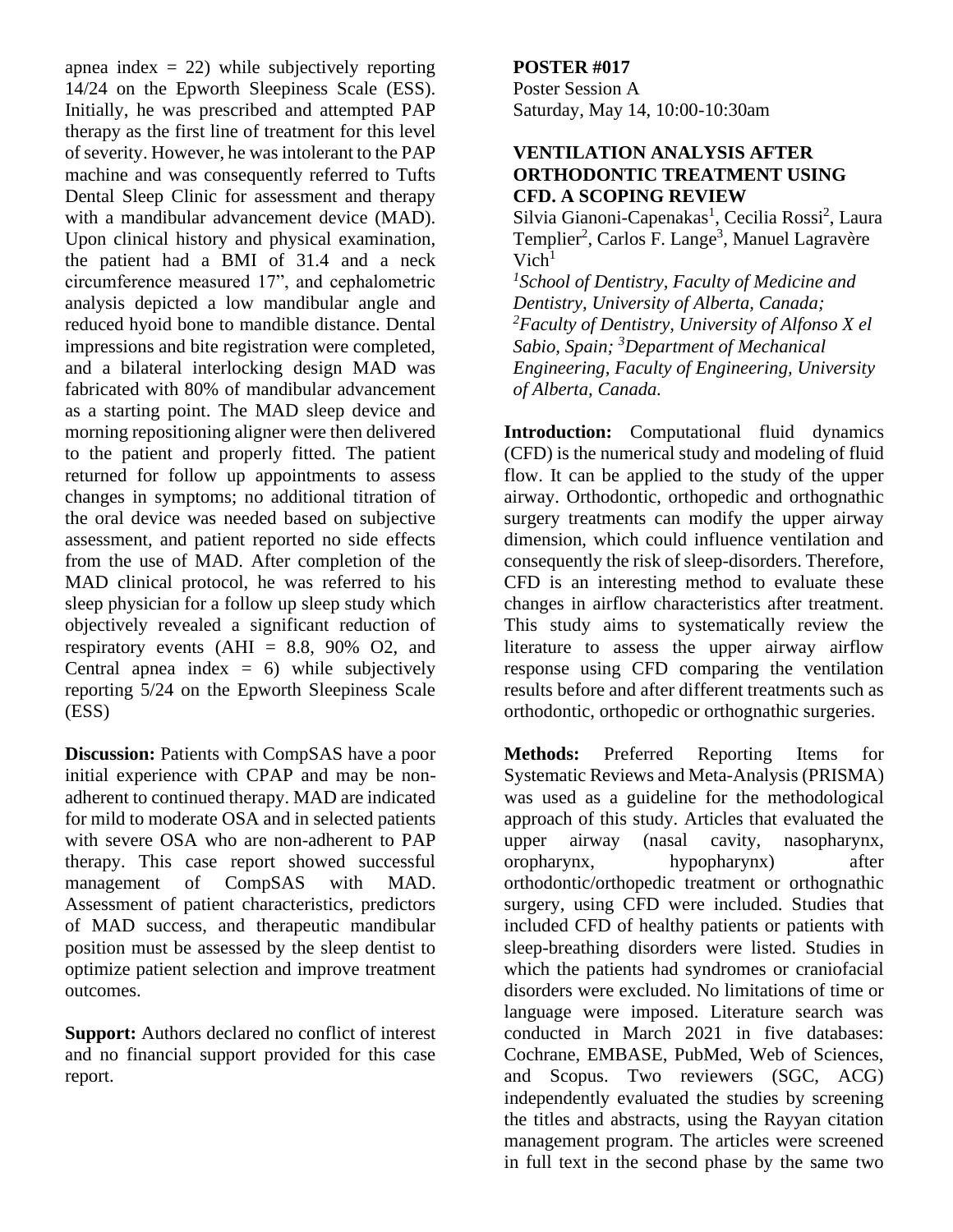apnea index  $= 22$ ) while subjectively reporting 14/24 on the Epworth Sleepiness Scale (ESS). Initially, he was prescribed and attempted PAP therapy as the first line of treatment for this level of severity. However, he was intolerant to the PAP machine and was consequently referred to Tufts Dental Sleep Clinic for assessment and therapy with a mandibular advancement device (MAD). Upon clinical history and physical examination, the patient had a BMI of 31.4 and a neck circumference measured 17", and cephalometric analysis depicted a low mandibular angle and reduced hyoid bone to mandible distance. Dental impressions and bite registration were completed, and a bilateral interlocking design MAD was fabricated with 80% of mandibular advancement as a starting point. The MAD sleep device and morning repositioning aligner were then delivered to the patient and properly fitted. The patient returned for follow up appointments to assess changes in symptoms; no additional titration of the oral device was needed based on subjective assessment, and patient reported no side effects from the use of MAD. After completion of the MAD clinical protocol, he was referred to his sleep physician for a follow up sleep study which objectively revealed a significant reduction of respiratory events  $(AHI = 8.8, 90\% \text{ O2}, \text{ and}$ Central apnea index  $= 6$ ) while subjectively reporting 5/24 on the Epworth Sleepiness Scale (ESS)

**Discussion:** Patients with CompSAS have a poor initial experience with CPAP and may be nonadherent to continued therapy. MAD are indicated for mild to moderate OSA and in selected patients with severe OSA who are non-adherent to PAP therapy. This case report showed successful management of CompSAS with MAD. Assessment of patient characteristics, predictors of MAD success, and therapeutic mandibular position must be assessed by the sleep dentist to optimize patient selection and improve treatment outcomes.

**Support:** Authors declared no conflict of interest and no financial support provided for this case report.

# **POSTER #017**

Poster Session A Saturday, May 14, 10:00-10:30am

#### **VENTILATION ANALYSIS AFTER ORTHODONTIC TREATMENT USING CFD. A SCOPING REVIEW**

Silvia Gianoni-Capenakas<sup>1</sup>, Cecilia Rossi<sup>2</sup>, Laura Templier<sup>2</sup>, Carlos F. Lange<sup>3</sup>, Manuel Lagravère  $Vich<sup>1</sup>$ 

*1 School of Dentistry, Faculty of Medicine and Dentistry, University of Alberta, Canada; <sup>2</sup>Faculty of Dentistry, University of Alfonso X el Sabio, Spain; <sup>3</sup>Department of Mechanical Engineering, Faculty of Engineering, University of Alberta, Canada.*

**Introduction:** Computational fluid dynamics (CFD) is the numerical study and modeling of fluid flow. It can be applied to the study of the upper airway. Orthodontic, orthopedic and orthognathic surgery treatments can modify the upper airway dimension, which could influence ventilation and consequently the risk of sleep-disorders. Therefore, CFD is an interesting method to evaluate these changes in airflow characteristics after treatment. This study aims to systematically review the literature to assess the upper airway airflow response using CFD comparing the ventilation results before and after different treatments such as orthodontic, orthopedic or orthognathic surgeries.

**Methods:** Preferred Reporting Items for Systematic Reviews and Meta-Analysis (PRISMA) was used as a guideline for the methodological approach of this study. Articles that evaluated the upper airway (nasal cavity, nasopharynx, oropharynx, hypopharynx) after orthodontic/orthopedic treatment or orthognathic surgery, using CFD were included. Studies that included CFD of healthy patients or patients with sleep-breathing disorders were listed. Studies in which the patients had syndromes or craniofacial disorders were excluded. No limitations of time or language were imposed. Literature search was conducted in March 2021 in five databases: Cochrane, EMBASE, PubMed, Web of Sciences, and Scopus. Two reviewers (SGC, ACG) independently evaluated the studies by screening the titles and abstracts, using the Rayyan citation management program. The articles were screened in full text in the second phase by the same two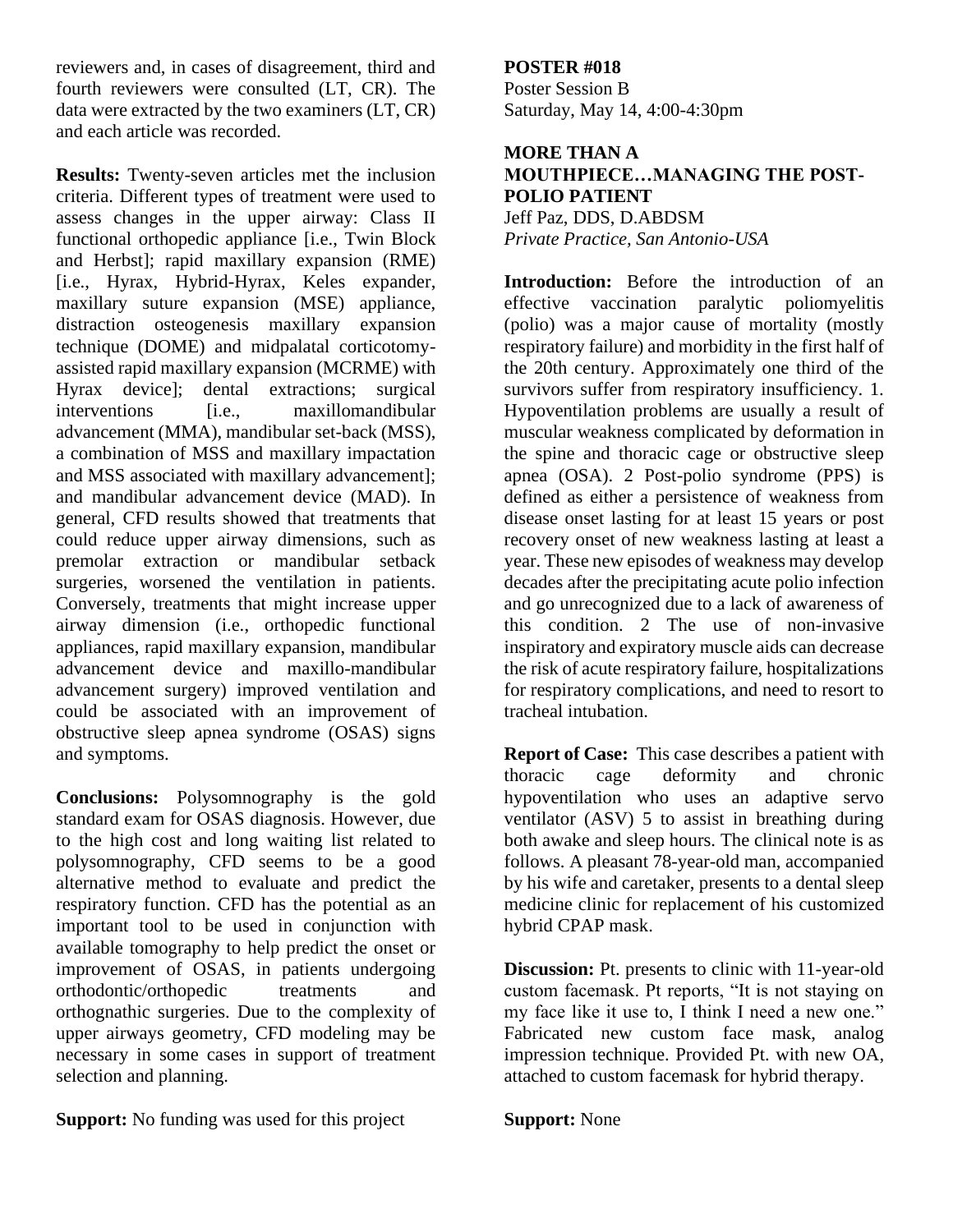reviewers and, in cases of disagreement, third and fourth reviewers were consulted (LT, CR). The data were extracted by the two examiners (LT, CR) and each article was recorded.

**Results:** Twenty-seven articles met the inclusion criteria. Different types of treatment were used to assess changes in the upper airway: Class II functional orthopedic appliance [i.e., Twin Block and Herbst]; rapid maxillary expansion (RME) [i.e., Hyrax, Hybrid-Hyrax, Keles expander, maxillary suture expansion (MSE) appliance, distraction osteogenesis maxillary expansion technique (DOME) and midpalatal corticotomyassisted rapid maxillary expansion (MCRME) with Hyrax device]; dental extractions; surgical interventions [i.e., maxillomandibular advancement (MMA), mandibular set-back (MSS), a combination of MSS and maxillary impactation and MSS associated with maxillary advancement]; and mandibular advancement device (MAD). In general, CFD results showed that treatments that could reduce upper airway dimensions, such as premolar extraction or mandibular setback surgeries, worsened the ventilation in patients. Conversely, treatments that might increase upper airway dimension (i.e., orthopedic functional appliances, rapid maxillary expansion, mandibular advancement device and maxillo-mandibular advancement surgery) improved ventilation and could be associated with an improvement of obstructive sleep apnea syndrome (OSAS) signs and symptoms.

**Conclusions:** Polysomnography is the gold standard exam for OSAS diagnosis. However, due to the high cost and long waiting list related to polysomnography, CFD seems to be a good alternative method to evaluate and predict the respiratory function. CFD has the potential as an important tool to be used in conjunction with available tomography to help predict the onset or improvement of OSAS, in patients undergoing orthodontic/orthopedic treatments and orthognathic surgeries. Due to the complexity of upper airways geometry, CFD modeling may be necessary in some cases in support of treatment selection and planning.

**Support:** No funding was used for this project

# **POSTER #018**

Poster Session B Saturday, May 14, 4:00-4:30pm

#### **MORE THAN A MOUTHPIECE…MANAGING THE POST-POLIO PATIENT** Jeff Paz, DDS, D.ABDSM

*Private Practice, San Antonio-USA* 

**Introduction:** Before the introduction of an effective vaccination paralytic poliomyelitis (polio) was a major cause of mortality (mostly respiratory failure) and morbidity in the first half of the 20th century. Approximately one third of the survivors suffer from respiratory insufficiency. 1. Hypoventilation problems are usually a result of muscular weakness complicated by deformation in the spine and thoracic cage or obstructive sleep apnea (OSA). 2 Post-polio syndrome (PPS) is defined as either a persistence of weakness from disease onset lasting for at least 15 years or post recovery onset of new weakness lasting at least a year. These new episodes of weakness may develop decades after the precipitating acute polio infection and go unrecognized due to a lack of awareness of this condition. 2 The use of non-invasive inspiratory and expiratory muscle aids can decrease the risk of acute respiratory failure, hospitalizations for respiratory complications, and need to resort to tracheal intubation.

**Report of Case:** This case describes a patient with thoracic cage deformity and chronic hypoventilation who uses an adaptive servo ventilator (ASV) 5 to assist in breathing during both awake and sleep hours. The clinical note is as follows. A pleasant 78-year-old man, accompanied by his wife and caretaker, presents to a dental sleep medicine clinic for replacement of his customized hybrid CPAP mask.

**Discussion:** Pt. presents to clinic with 11-year-old custom facemask. Pt reports, "It is not staying on my face like it use to, I think I need a new one." Fabricated new custom face mask, analog impression technique. Provided Pt. with new OA, attached to custom facemask for hybrid therapy.

**Support:** None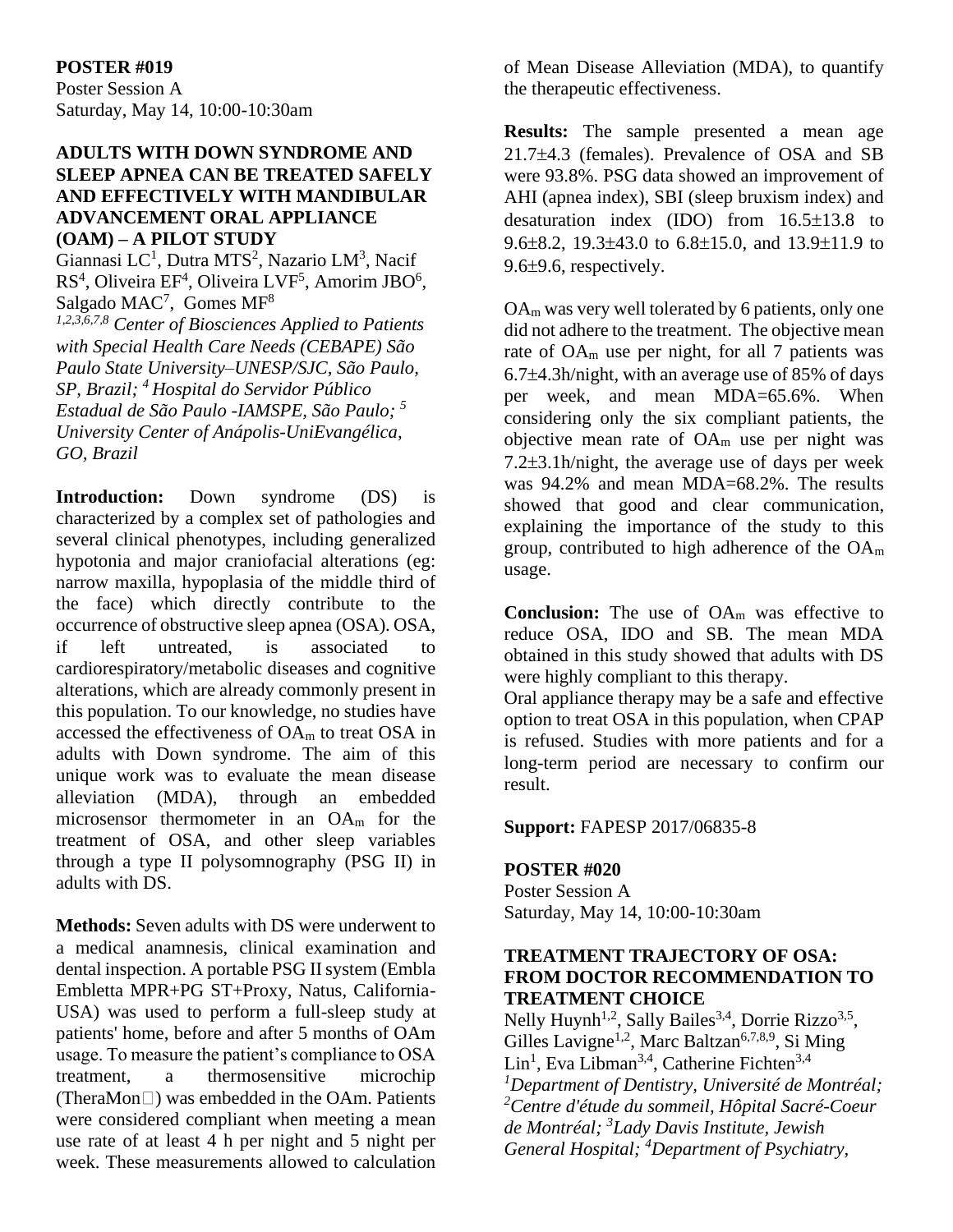#### **POSTER #019**

Poster Session A Saturday, May 14, 10:00-10:30am

#### **ADULTS WITH DOWN SYNDROME AND SLEEP APNEA CAN BE TREATED SAFELY AND EFFECTIVELY WITH MANDIBULAR ADVANCEMENT ORAL APPLIANCE (OAM) – A PILOT STUDY**

Giannasi LC<sup>1</sup>, Dutra MTS<sup>2</sup>, Nazario LM<sup>3</sup>, Nacif RS<sup>4</sup>, Oliveira EF<sup>4</sup>, Oliveira LVF<sup>5</sup>, Amorim JBO<sup>6</sup>, Salgado MAC<sup>7</sup>, Gomes MF<sup>8</sup>

*1,2,3,6,7,8 Center of Biosciences Applied to Patients with Special Health Care Needs (CEBAPE) São Paulo State University–UNESP/SJC, São Paulo, SP, Brazil; <sup>4</sup>Hospital do Servidor Público Estadual de São Paulo -IAMSPE, São Paulo; <sup>5</sup> University Center of Anápolis-UniEvangélica, GO, Brazil*

**Introduction:** Down syndrome (DS) is characterized by a complex set of pathologies and several clinical phenotypes, including generalized hypotonia and major craniofacial alterations (eg: narrow maxilla, hypoplasia of the middle third of the face) which directly contribute to the occurrence of obstructive sleep apnea (OSA). OSA, if left untreated, is associated to cardiorespiratory/metabolic diseases and cognitive alterations, which are already commonly present in this population. To our knowledge, no studies have accessed the effectiveness of OA<sup>m</sup> to treat OSA in adults with Down syndrome. The aim of this unique work was to evaluate the mean disease alleviation (MDA), through an embedded microsensor thermometer in an OA<sup>m</sup> for the treatment of OSA, and other sleep variables through a type II polysomnography (PSG II) in adults with DS.

**Methods:** Seven adults with DS were underwent to a medical anamnesis, clinical examination and dental inspection. A portable PSG II system (Embla Embletta MPR+PG ST+Proxy, Natus, California-USA) was used to perform a full-sleep study at patients' home, before and after 5 months of OAm usage. To measure the patient's compliance to OSA treatment, a thermosensitive microchip (TheraMon $\Box$ ) was embedded in the OAm. Patients were considered compliant when meeting a mean use rate of at least 4 h per night and 5 night per week. These measurements allowed to calculation

of Mean Disease Alleviation (MDA), to quantify the therapeutic effectiveness.

**Results:** The sample presented a mean age 21.7±4.3 (females). Prevalence of OSA and SB were 93.8%. PSG data showed an improvement of AHI (apnea index), SBI (sleep bruxism index) and desaturation index  $(IDO)$  from  $16.5\pm13.8$  to 9.6 $\pm$ 8.2, 19.3 $\pm$ 43.0 to 6.8 $\pm$ 15.0, and 13.9 $\pm$ 11.9 to  $9.6 \pm 9.6$ , respectively.

 $OA<sub>m</sub>$  was very well tolerated by 6 patients, only one did not adhere to the treatment. The objective mean rate of OA<sup>m</sup> use per night, for all 7 patients was  $6.7\pm4.3$ h/night, with an average use of 85% of days per week, and mean MDA=65.6%. When considering only the six compliant patients, the objective mean rate of  $OA<sub>m</sub>$  use per night was  $7.2\pm3.1$ h/night, the average use of days per week was 94.2% and mean MDA=68.2%. The results showed that good and clear communication, explaining the importance of the study to this group, contributed to high adherence of the OA<sup>m</sup> usage.

**Conclusion:** The use of OA<sup>m</sup> was effective to reduce OSA, IDO and SB. The mean MDA obtained in this study showed that adults with DS were highly compliant to this therapy.

Oral appliance therapy may be a safe and effective option to treat OSA in this population, when CPAP is refused. Studies with more patients and for a long-term period are necessary to confirm our result.

**Support:** FAPESP 2017/06835-8

#### **POSTER #020**

Poster Session A Saturday, May 14, 10:00-10:30am

#### **TREATMENT TRAJECTORY OF OSA: FROM DOCTOR RECOMMENDATION TO TREATMENT CHOICE**

Nelly Huynh<sup>1,2</sup>, Sally Bailes<sup>3,4</sup>, Dorrie Rizzo<sup>3,5</sup>, Gilles Lavigne<sup>1,2</sup>, Marc Baltzan<sup>6,7,8,9</sup>, Si Ming Lin<sup>1</sup>, Eva Libman<sup>3,4</sup>, Catherine Fichten<sup>3,4</sup> *<sup>1</sup>Department of Dentistry, Université de Montréal; <sup>2</sup>Centre d'étude du sommeil, Hôpital Sacré-Coeur de Montréal; <sup>3</sup>Lady Davis Institute, Jewish General Hospital; <sup>4</sup>Department of Psychiatry,*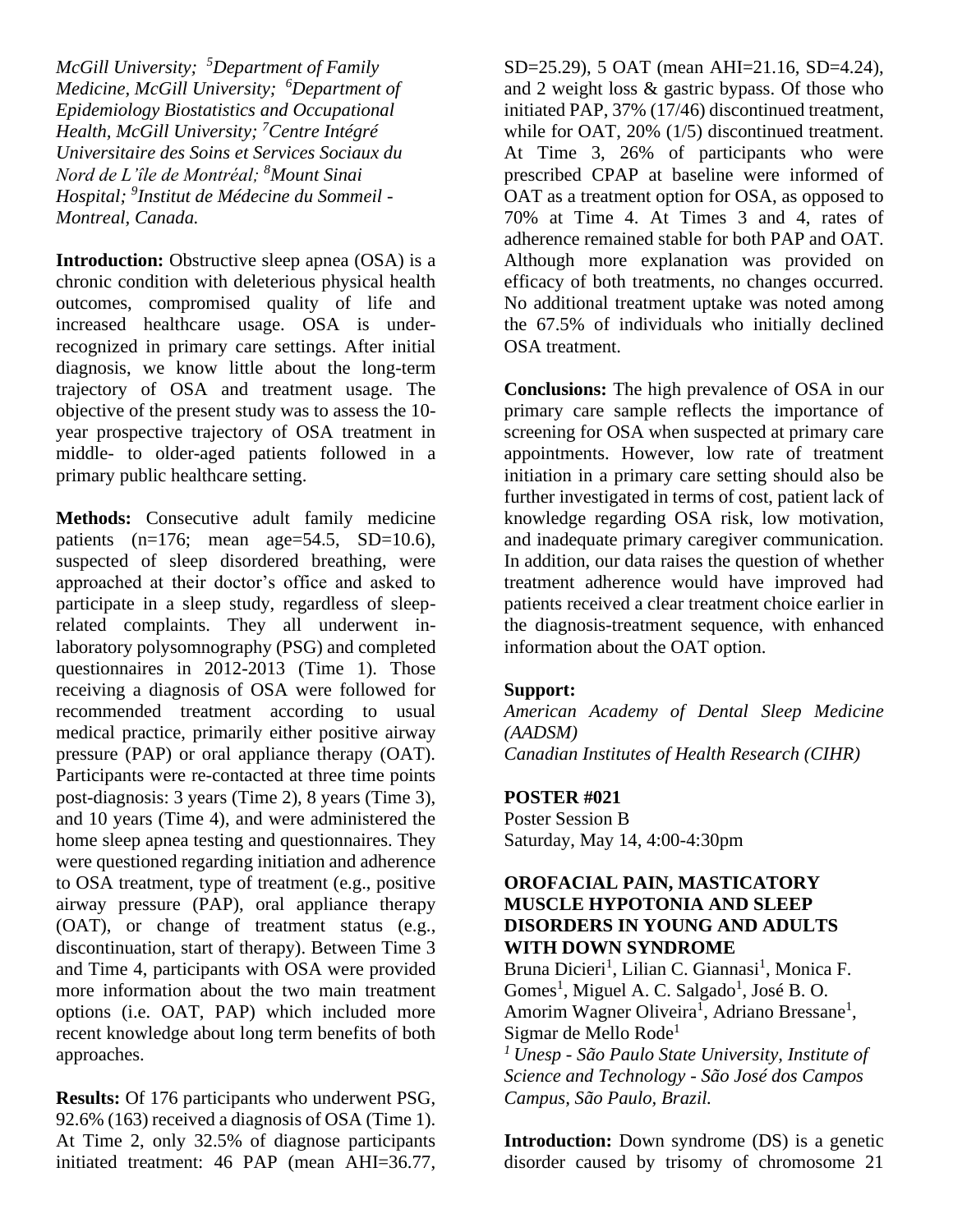*McGill University; <sup>5</sup>Department of Family Medicine, McGill University; <sup>6</sup>Department of Epidemiology Biostatistics and Occupational Health, McGill University; <sup>7</sup>Centre Intégré Universitaire des Soins et Services Sociaux du Nord de L'île de Montréal; <sup>8</sup>Mount Sinai Hospital; <sup>9</sup> Institut de Médecine du Sommeil - Montreal, Canada.*

**Introduction:** Obstructive sleep apnea (OSA) is a chronic condition with deleterious physical health outcomes, compromised quality of life and increased healthcare usage. OSA is underrecognized in primary care settings. After initial diagnosis, we know little about the long-term trajectory of OSA and treatment usage. The objective of the present study was to assess the 10 year prospective trajectory of OSA treatment in middle- to older-aged patients followed in a primary public healthcare setting.

**Methods:** Consecutive adult family medicine patients  $(n=176;$  mean age=54.5, SD=10.6), suspected of sleep disordered breathing, were approached at their doctor's office and asked to participate in a sleep study, regardless of sleeprelated complaints. They all underwent inlaboratory polysomnography (PSG) and completed questionnaires in 2012-2013 (Time 1). Those receiving a diagnosis of OSA were followed for recommended treatment according to usual medical practice, primarily either positive airway pressure (PAP) or oral appliance therapy (OAT). Participants were re-contacted at three time points post-diagnosis: 3 years (Time 2), 8 years (Time 3), and 10 years (Time 4), and were administered the home sleep apnea testing and questionnaires. They were questioned regarding initiation and adherence to OSA treatment, type of treatment (e.g., positive airway pressure (PAP), oral appliance therapy (OAT), or change of treatment status (e.g., discontinuation, start of therapy). Between Time 3 and Time 4, participants with OSA were provided more information about the two main treatment options (i.e. OAT, PAP) which included more recent knowledge about long term benefits of both approaches.

**Results:** Of 176 participants who underwent PSG, 92.6% (163) received a diagnosis of OSA (Time 1). At Time 2, only 32.5% of diagnose participants initiated treatment: 46 PAP (mean AHI=36.77, SD=25.29), 5 OAT (mean AHI=21.16, SD=4.24), and 2 weight loss & gastric bypass. Of those who initiated PAP, 37% (17/46) discontinued treatment, while for OAT, 20% (1/5) discontinued treatment. At Time 3, 26% of participants who were prescribed CPAP at baseline were informed of OAT as a treatment option for OSA, as opposed to 70% at Time 4. At Times 3 and 4, rates of adherence remained stable for both PAP and OAT. Although more explanation was provided on efficacy of both treatments, no changes occurred. No additional treatment uptake was noted among the 67.5% of individuals who initially declined OSA treatment.

**Conclusions:** The high prevalence of OSA in our primary care sample reflects the importance of screening for OSA when suspected at primary care appointments. However, low rate of treatment initiation in a primary care setting should also be further investigated in terms of cost, patient lack of knowledge regarding OSA risk, low motivation, and inadequate primary caregiver communication. In addition, our data raises the question of whether treatment adherence would have improved had patients received a clear treatment choice earlier in the diagnosis-treatment sequence, with enhanced information about the OAT option.

#### **Support:**

*American Academy of Dental Sleep Medicine (AADSM) Canadian Institutes of Health Research (CIHR)*

#### **POSTER #021**

Poster Session B Saturday, May 14, 4:00-4:30pm

#### **OROFACIAL PAIN, MASTICATORY MUSCLE HYPOTONIA AND SLEEP DISORDERS IN YOUNG AND ADULTS WITH DOWN SYNDROME**

Bruna Dicieri<sup>1</sup>, Lilian C. Giannasi<sup>1</sup>, Monica F. Gomes<sup>1</sup>, Miguel A. C. Salgado<sup>1</sup>, José B. O. Amorim Wagner Oliveira<sup>1</sup>, Adriano Bressane<sup>1</sup>, Sigmar de Mello Rode<sup>1</sup>

*<sup>1</sup>Unesp - São Paulo State University, Institute of Science and Technology - São José dos Campos Campus, São Paulo, Brazil.*

**Introduction:** Down syndrome (DS) is a genetic disorder caused by trisomy of chromosome 21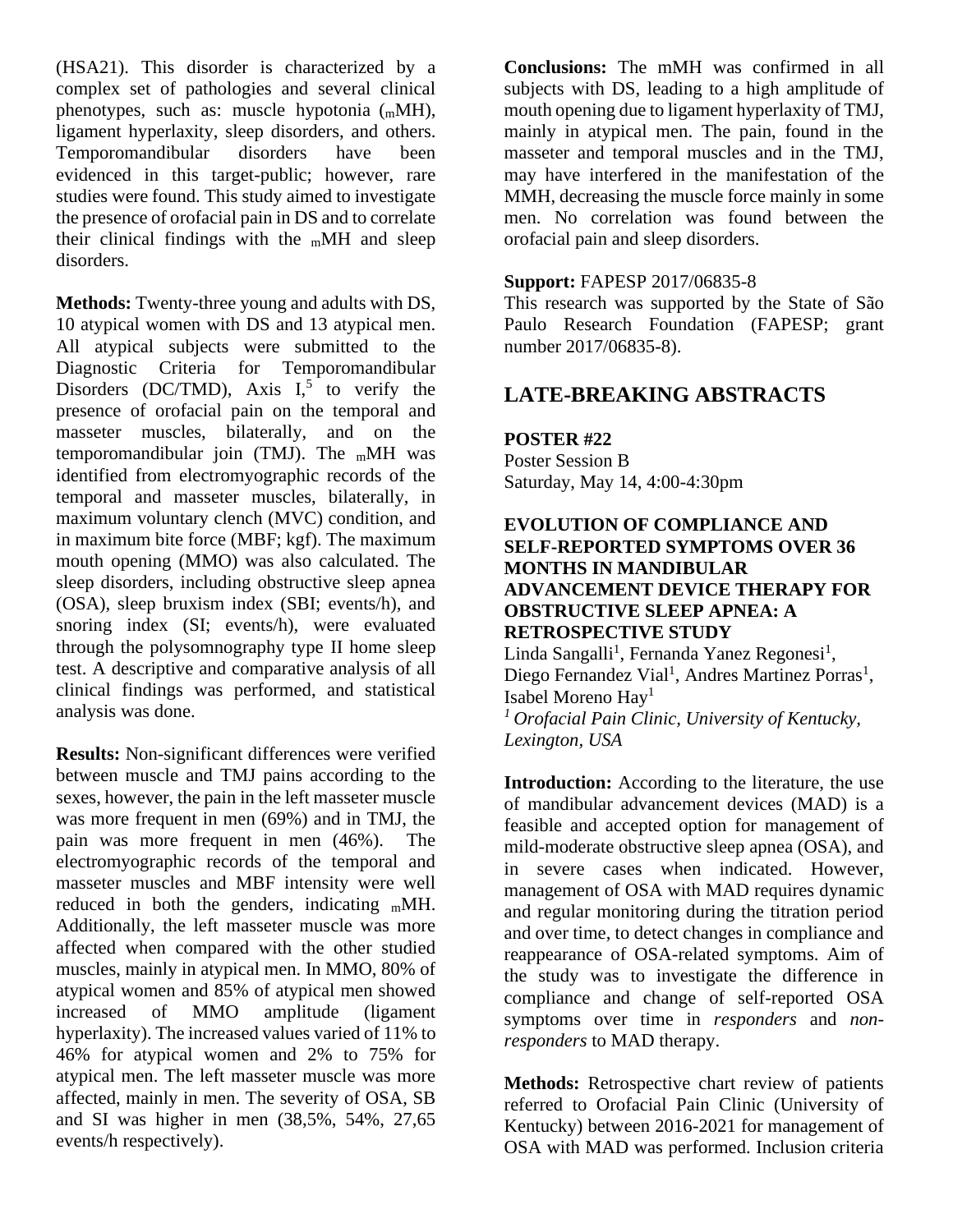(HSA21). This disorder is characterized by a complex set of pathologies and several clinical phenotypes, such as: muscle hypotonia (mMH), ligament hyperlaxity, sleep disorders, and others. Temporomandibular disorders have been evidenced in this target-public; however, rare studies were found. This study aimed to investigate the presence of orofacial pain in DS and to correlate their clinical findings with the  $m$ MH and sleep disorders.

**Methods:** Twenty-three young and adults with DS, 10 atypical women with DS and 13 atypical men. All atypical subjects were submitted to the Diagnostic Criteria for Temporomandibular Disorders (DC/TMD), Axis  $I<sub>5</sub>$  to verify the presence of orofacial pain on the temporal and masseter muscles, bilaterally, and on the temporomandibular join (TMJ). The  $m$ MH was identified from electromyographic records of the temporal and masseter muscles, bilaterally, in maximum voluntary clench (MVC) condition, and in maximum bite force (MBF; kgf). The maximum mouth opening (MMO) was also calculated. The sleep disorders, including obstructive sleep apnea (OSA), sleep bruxism index (SBI; events/h), and snoring index (SI; events/h), were evaluated through the polysomnography type II home sleep test. A descriptive and comparative analysis of all clinical findings was performed, and statistical analysis was done.

**Results:** Non-significant differences were verified between muscle and TMJ pains according to the sexes, however, the pain in the left masseter muscle was more frequent in men (69%) and in TMJ, the pain was more frequent in men (46%). The electromyographic records of the temporal and masseter muscles and MBF intensity were well reduced in both the genders, indicating  $m$ MH. Additionally, the left masseter muscle was more affected when compared with the other studied muscles, mainly in atypical men. In MMO, 80% of atypical women and 85% of atypical men showed increased of MMO amplitude (ligament hyperlaxity). The increased values varied of 11% to 46% for atypical women and 2% to 75% for atypical men. The left masseter muscle was more affected, mainly in men. The severity of OSA, SB and SI was higher in men (38,5%, 54%, 27,65 events/h respectively).

**Conclusions:** The mMH was confirmed in all subjects with DS, leading to a high amplitude of mouth opening due to ligament hyperlaxity of TMJ, mainly in atypical men. The pain, found in the masseter and temporal muscles and in the TMJ, may have interfered in the manifestation of the MMH, decreasing the muscle force mainly in some men. No correlation was found between the orofacial pain and sleep disorders.

#### **Support:** FAPESP 2017/06835-8

This research was supported by the State of São Paulo Research Foundation (FAPESP; grant number 2017/06835-8).

# **LATE-BREAKING ABSTRACTS**

#### **POSTER #22**

Poster Session B Saturday, May 14, 4:00-4:30pm

#### **EVOLUTION OF COMPLIANCE AND SELF-REPORTED SYMPTOMS OVER 36 MONTHS IN MANDIBULAR ADVANCEMENT DEVICE THERAPY FOR OBSTRUCTIVE SLEEP APNEA: A RETROSPECTIVE STUDY**

Linda Sangalli<sup>1</sup>, Fernanda Yanez Regonesi<sup>1</sup>, Diego Fernandez Vial<sup>1</sup>, Andres Martinez Porras<sup>1</sup>, Isabel Moreno Hay<sup>1</sup> *<sup>1</sup> Orofacial Pain Clinic, University of Kentucky, Lexington, USA*

**Introduction:** According to the literature, the use of mandibular advancement devices (MAD) is a feasible and accepted option for management of mild-moderate obstructive sleep apnea (OSA), and in severe cases when indicated. However, management of OSA with MAD requires dynamic and regular monitoring during the titration period and over time, to detect changes in compliance and reappearance of OSA-related symptoms. Aim of the study was to investigate the difference in compliance and change of self-reported OSA symptoms over time in *responders* and *nonresponders* to MAD therapy.

**Methods:** Retrospective chart review of patients referred to Orofacial Pain Clinic (University of Kentucky) between 2016-2021 for management of OSA with MAD was performed. Inclusion criteria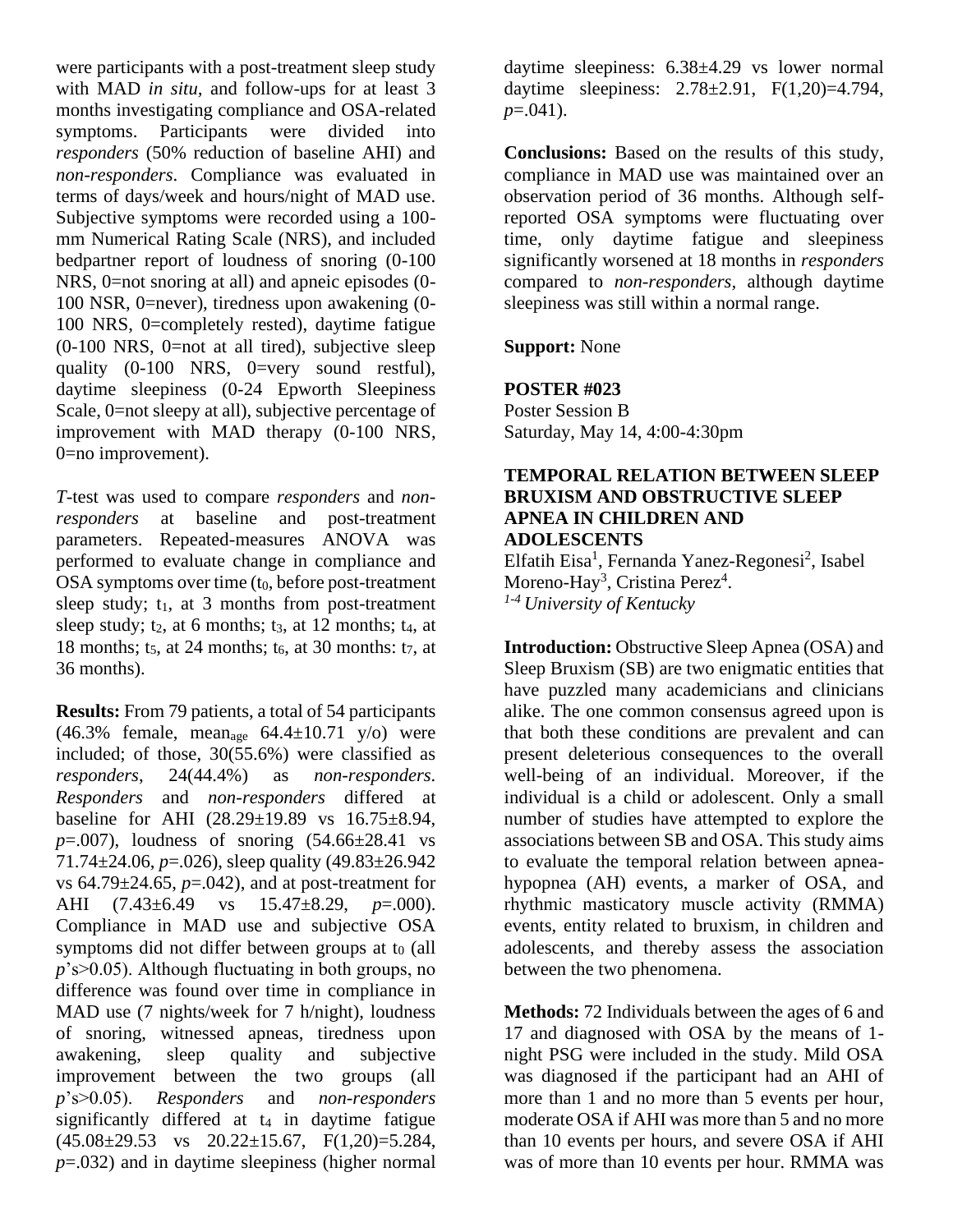were participants with a post-treatment sleep study with MAD *in situ,* and follow-ups for at least 3 months investigating compliance and OSA-related symptoms. Participants were divided into *responders* (50% reduction of baseline AHI) and *non-responders*. Compliance was evaluated in terms of days/week and hours/night of MAD use. Subjective symptoms were recorded using a 100 mm Numerical Rating Scale (NRS), and included bedpartner report of loudness of snoring (0-100 NRS, 0=not snoring at all) and apneic episodes (0- 100 NSR, 0=never), tiredness upon awakening (0- 100 NRS, 0=completely rested), daytime fatigue  $(0-100 \text{ NRS}, 0=$ not at all tired), subjective sleep quality (0-100 NRS, 0=very sound restful), daytime sleepiness (0-24 Epworth Sleepiness Scale, 0=not sleepy at all), subjective percentage of improvement with MAD therapy (0-100 NRS, 0=no improvement).

*T*-test was used to compare *responders* and *nonresponders* at baseline and post-treatment parameters. Repeated-measures ANOVA was performed to evaluate change in compliance and OSA symptoms over time  $(t_0, \text{before post-treatment})$ sleep study;  $t_1$ , at 3 months from post-treatment sleep study;  $t_2$ , at 6 months;  $t_3$ , at 12 months;  $t_4$ , at 18 months;  $t_5$ , at 24 months;  $t_6$ , at 30 months:  $t_7$ , at 36 months).

**Results:** From 79 patients, a total of 54 participants (46.3% female, mean<sub>age</sub>  $64.4 \pm 10.71$  y/o) were included; of those, 30(55.6%) were classified as *responders*, 24(44.4%) as *non-responders. Responders* and *non-responders* differed at baseline for AHI (28.29±19.89 vs 16.75±8.94, *p*=.007), loudness of snoring (54.66±28.41 vs 71.74±24.06, *p*=.026), sleep quality (49.83±26.942 vs  $64.79 \pm 24.65$ ,  $p = .042$ ), and at post-treatment for AHI (7.43±6.49 vs 15.47±8.29, *p*=.000). Compliance in MAD use and subjective OSA symptoms did not differ between groups at  $t_0$  (all *p*'s>0.05). Although fluctuating in both groups, no difference was found over time in compliance in MAD use (7 nights/week for 7 h/night), loudness of snoring, witnessed apneas, tiredness upon awakening, sleep quality and subjective improvement between the two groups (all *p*'s>0.05). *Responders* and *non-responders* significantly differed at  $t_4$  in daytime fatigue  $(45.08 \pm 29.53 \text{ vs } 20.22 \pm 15.67, \text{ F}(1,20) = 5.284,$ *p*=.032) and in daytime sleepiness (higher normal

daytime sleepiness: 6.38±4.29 vs lower normal daytime sleepiness:  $2.78 \pm 2.91$ ,  $F(1,20)=4.794$ , *p*=.041).

**Conclusions:** Based on the results of this study, compliance in MAD use was maintained over an observation period of 36 months. Although selfreported OSA symptoms were fluctuating over time, only daytime fatigue and sleepiness significantly worsened at 18 months in *responders* compared to *non-responders,* although daytime sleepiness was still within a normal range.

**Support:** None

#### **POSTER #023**

Poster Session B Saturday, May 14, 4:00-4:30pm

#### **TEMPORAL RELATION BETWEEN SLEEP BRUXISM AND OBSTRUCTIVE SLEEP APNEA IN CHILDREN AND ADOLESCENTS**

Elfatih Eisa<sup>1</sup>, Fernanda Yanez-Regonesi<sup>2</sup>, Isabel Moreno-Hay<sup>3</sup>, Cristina Perez<sup>4</sup>. *1-4 University of Kentucky*

**Introduction:** Obstructive Sleep Apnea (OSA) and Sleep Bruxism (SB) are two enigmatic entities that have puzzled many academicians and clinicians alike. The one common consensus agreed upon is that both these conditions are prevalent and can present deleterious consequences to the overall well-being of an individual. Moreover, if the individual is a child or adolescent. Only a small number of studies have attempted to explore the associations between SB and OSA. This study aims to evaluate the temporal relation between apneahypopnea (AH) events, a marker of OSA, and rhythmic masticatory muscle activity (RMMA) events, entity related to bruxism, in children and adolescents, and thereby assess the association between the two phenomena.

**Methods:** 72 Individuals between the ages of 6 and 17 and diagnosed with OSA by the means of 1 night PSG were included in the study. Mild OSA was diagnosed if the participant had an AHI of more than 1 and no more than 5 events per hour, moderate OSA if AHI was more than 5 and no more than 10 events per hours, and severe OSA if AHI was of more than 10 events per hour. RMMA was